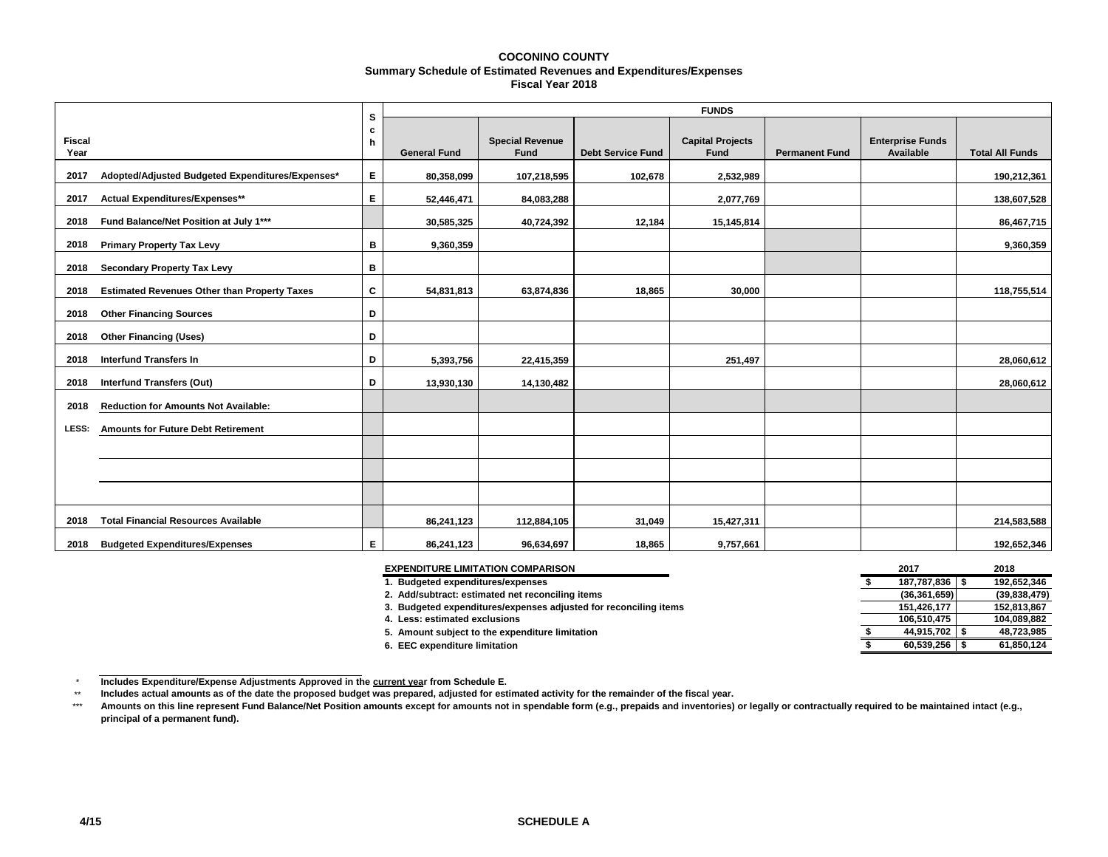#### **COCONINO COUNTY Summary Schedule of Estimated Revenues and Expenditures/Expenses Fiscal Year 2018**

|                       |                                                     | s      | <b>FUNDS</b>        |                                       |                          |                                        |                       |                                      |                        |  |  |  |  |
|-----------------------|-----------------------------------------------------|--------|---------------------|---------------------------------------|--------------------------|----------------------------------------|-----------------------|--------------------------------------|------------------------|--|--|--|--|
| <b>Fiscal</b><br>Year |                                                     | c<br>h | <b>General Fund</b> | <b>Special Revenue</b><br><b>Fund</b> | <b>Debt Service Fund</b> | <b>Capital Projects</b><br><b>Fund</b> | <b>Permanent Fund</b> | <b>Enterprise Funds</b><br>Available | <b>Total All Funds</b> |  |  |  |  |
| 2017                  | Adopted/Adjusted Budgeted Expenditures/Expenses*    | E.     | 80,358,099          | 107,218,595                           | 102,678                  | 2,532,989                              |                       |                                      | 190,212,361            |  |  |  |  |
| 2017                  | Actual Expenditures/Expenses**                      | E.     | 52,446,471          | 84,083,288                            |                          | 2,077,769                              |                       |                                      | 138,607,528            |  |  |  |  |
| 2018                  | Fund Balance/Net Position at July 1***              |        | 30,585,325          | 40,724,392                            | 12,184                   | 15,145,814                             |                       |                                      | 86,467,715             |  |  |  |  |
| 2018                  | <b>Primary Property Tax Levy</b>                    | в      | 9,360,359           |                                       |                          |                                        |                       |                                      | 9,360,359              |  |  |  |  |
| 2018                  | <b>Secondary Property Tax Levy</b>                  | в      |                     |                                       |                          |                                        |                       |                                      |                        |  |  |  |  |
| 2018                  | <b>Estimated Revenues Other than Property Taxes</b> | c      | 54,831,813          | 63,874,836                            | 18,865                   | 30,000                                 |                       |                                      | 118,755,514            |  |  |  |  |
| 2018                  | <b>Other Financing Sources</b>                      | D      |                     |                                       |                          |                                        |                       |                                      |                        |  |  |  |  |
| 2018                  | <b>Other Financing (Uses)</b>                       | D      |                     |                                       |                          |                                        |                       |                                      |                        |  |  |  |  |
| 2018                  | <b>Interfund Transfers In</b>                       | D      | 5,393,756           | 22,415,359                            |                          | 251,497                                |                       |                                      | 28,060,612             |  |  |  |  |
| 2018                  | <b>Interfund Transfers (Out)</b>                    | D      | 13,930,130          | 14,130,482                            |                          |                                        |                       |                                      | 28,060,612             |  |  |  |  |
| 2018                  | <b>Reduction for Amounts Not Available:</b>         |        |                     |                                       |                          |                                        |                       |                                      |                        |  |  |  |  |
| LESS:                 | <b>Amounts for Future Debt Retirement</b>           |        |                     |                                       |                          |                                        |                       |                                      |                        |  |  |  |  |
|                       |                                                     |        |                     |                                       |                          |                                        |                       |                                      |                        |  |  |  |  |
|                       |                                                     |        |                     |                                       |                          |                                        |                       |                                      |                        |  |  |  |  |
|                       |                                                     |        |                     |                                       |                          |                                        |                       |                                      |                        |  |  |  |  |
| 2018                  | <b>Total Financial Resources Available</b>          |        | 86,241,123          | 112,884,105                           | 31,049                   | 15,427,311                             |                       |                                      | 214,583,588            |  |  |  |  |
| 2018                  | <b>Budgeted Expenditures/Expenses</b>               | Е      | 86,241,123          | 96,634,697                            | 18.865                   | 9,757,661                              |                       |                                      | 192,652,346            |  |  |  |  |

| <b>EXPENDITURE LIMITATION COMPARISON</b>                         | 2017             | 2018         |
|------------------------------------------------------------------|------------------|--------------|
| . Budgeted expenditures/expenses                                 | 187,787,836   \$ | 192.652.346  |
| 2. Add/subtract: estimated net reconciling items                 | (36, 361, 659)   | (39,838,479) |
| 3. Budgeted expenditures/expenses adjusted for reconciling items | 151,426,177      | 152,813,867  |
| 4. Less: estimated exclusions                                    | 106.510.475      | 104.089.882  |
| 5. Amount subject to the expenditure limitation                  | 44.915.702 \$    | 48,723,985   |
| 6. EEC expenditure limitation                                    | 60.539.256       | 61,850,124   |

 $\star$ **Includes Expenditure/Expense Adjustments Approved in the current year from Schedule E.** 

\*\* **Includes actual amounts as of the date the proposed budget was prepared, adjusted for estimated activity for the remainder of the fiscal year.**

\*\*\* **Amounts on this line represent Fund Balance/Net Position amounts except for amounts not in spendable form (e.g., prepaids and inventories) or legally or contractually required to be maintained intact (e.g., principal of a permanent fund).**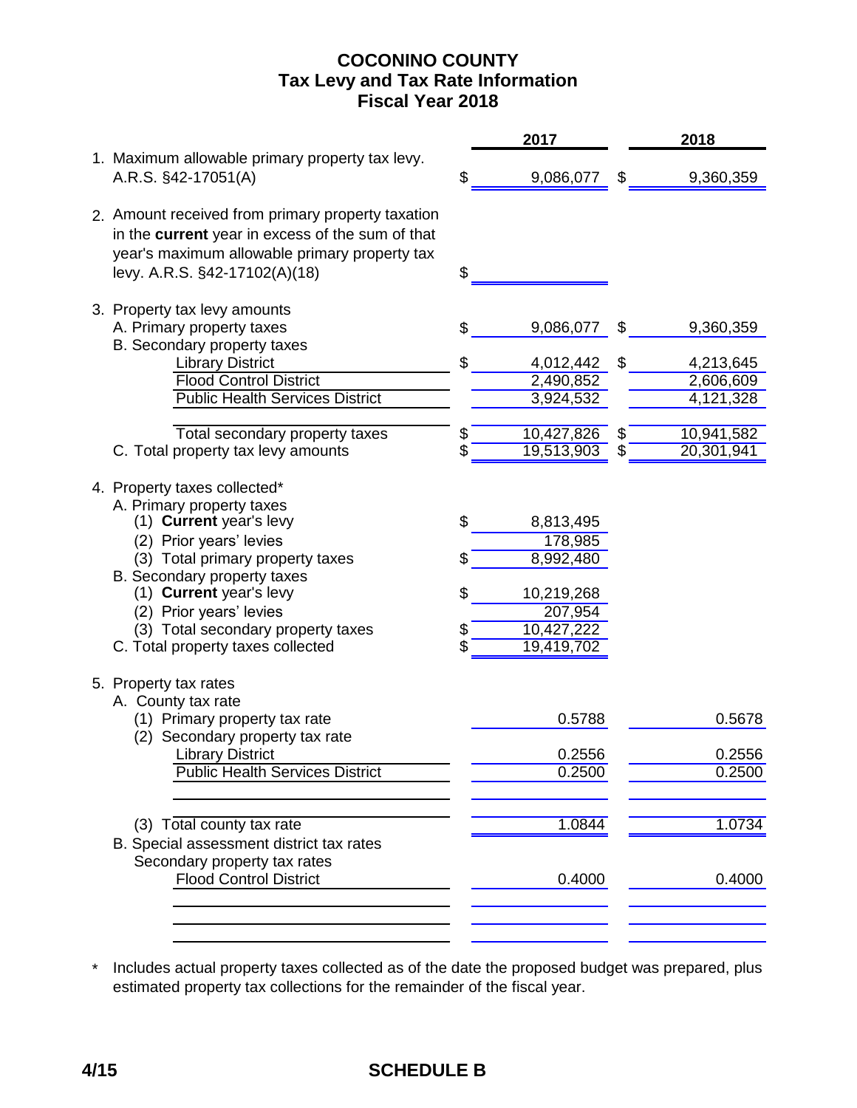## **COCONINO COUNTY Fiscal Year 2018 Tax Levy and Tax Rate Information**

|                                                                                                                                                                                                                                                                                                                                              |                           | 2017                                                                                   |    | 2018                      |
|----------------------------------------------------------------------------------------------------------------------------------------------------------------------------------------------------------------------------------------------------------------------------------------------------------------------------------------------|---------------------------|----------------------------------------------------------------------------------------|----|---------------------------|
| 1. Maximum allowable primary property tax levy.<br>A.R.S. §42-17051(A)                                                                                                                                                                                                                                                                       |                           | 9,086,077                                                                              | \$ | 9,360,359                 |
| 2. Amount received from primary property taxation<br>in the current year in excess of the sum of that<br>year's maximum allowable primary property tax<br>levy. A.R.S. §42-17102(A)(18)                                                                                                                                                      | \$                        |                                                                                        |    |                           |
| 3. Property tax levy amounts<br>A. Primary property taxes                                                                                                                                                                                                                                                                                    |                           | 9,086,077                                                                              | \$ | 9,360,359                 |
| B. Secondary property taxes                                                                                                                                                                                                                                                                                                                  |                           |                                                                                        |    |                           |
| <b>Library District</b>                                                                                                                                                                                                                                                                                                                      | \$                        | 4,012,442                                                                              | \$ | 4,213,645                 |
| <b>Flood Control District</b>                                                                                                                                                                                                                                                                                                                |                           | 2,490,852                                                                              |    | 2,606,609                 |
| <b>Public Health Services District</b>                                                                                                                                                                                                                                                                                                       |                           | 3,924,532                                                                              |    | $\overline{4}$ , 121, 328 |
| Total secondary property taxes                                                                                                                                                                                                                                                                                                               | \$                        | 10,427,826                                                                             | S  | 10,941,582                |
| C. Total property tax levy amounts                                                                                                                                                                                                                                                                                                           | \$                        | 19,513,903                                                                             | S  | 20,301,941                |
| 4. Property taxes collected*<br>A. Primary property taxes<br>(1) Current year's levy<br>(2) Prior years' levies<br>(3) Total primary property taxes<br>B. Secondary property taxes<br>(1) Current year's levy<br>(2) Prior years' levies<br>(3) Total secondary property taxes<br>C. Total property taxes collected<br>5. Property tax rates | \$<br>\$<br>\$<br>\$<br>Ś | 8,813,495<br>178,985<br>8,992,480<br>10,219,268<br>207,954<br>10,427,222<br>19,419,702 |    |                           |
| A. County tax rate<br>(1) Primary property tax rate                                                                                                                                                                                                                                                                                          |                           | 0.5788                                                                                 |    | 0.5678                    |
| (2) Secondary property tax rate                                                                                                                                                                                                                                                                                                              |                           |                                                                                        |    |                           |
| <b>Library District</b>                                                                                                                                                                                                                                                                                                                      |                           | 0.2556                                                                                 |    | 0.2556                    |
| <b>Public Health Services District</b>                                                                                                                                                                                                                                                                                                       |                           | 0.2500                                                                                 |    | 0.2500                    |
|                                                                                                                                                                                                                                                                                                                                              |                           |                                                                                        |    |                           |
| (3) Total county tax rate                                                                                                                                                                                                                                                                                                                    |                           | 1.0844                                                                                 |    | 1.0734                    |
| B. Special assessment district tax rates<br>Secondary property tax rates<br><b>Flood Control District</b>                                                                                                                                                                                                                                    |                           | 0.4000                                                                                 |    | 0.4000                    |
|                                                                                                                                                                                                                                                                                                                                              |                           |                                                                                        |    |                           |

\* Includes actual property taxes collected as of the date the proposed budget was prepared, plus estimated property tax collections for the remainder of the fiscal year.

# **4/15 SCHEDULE B**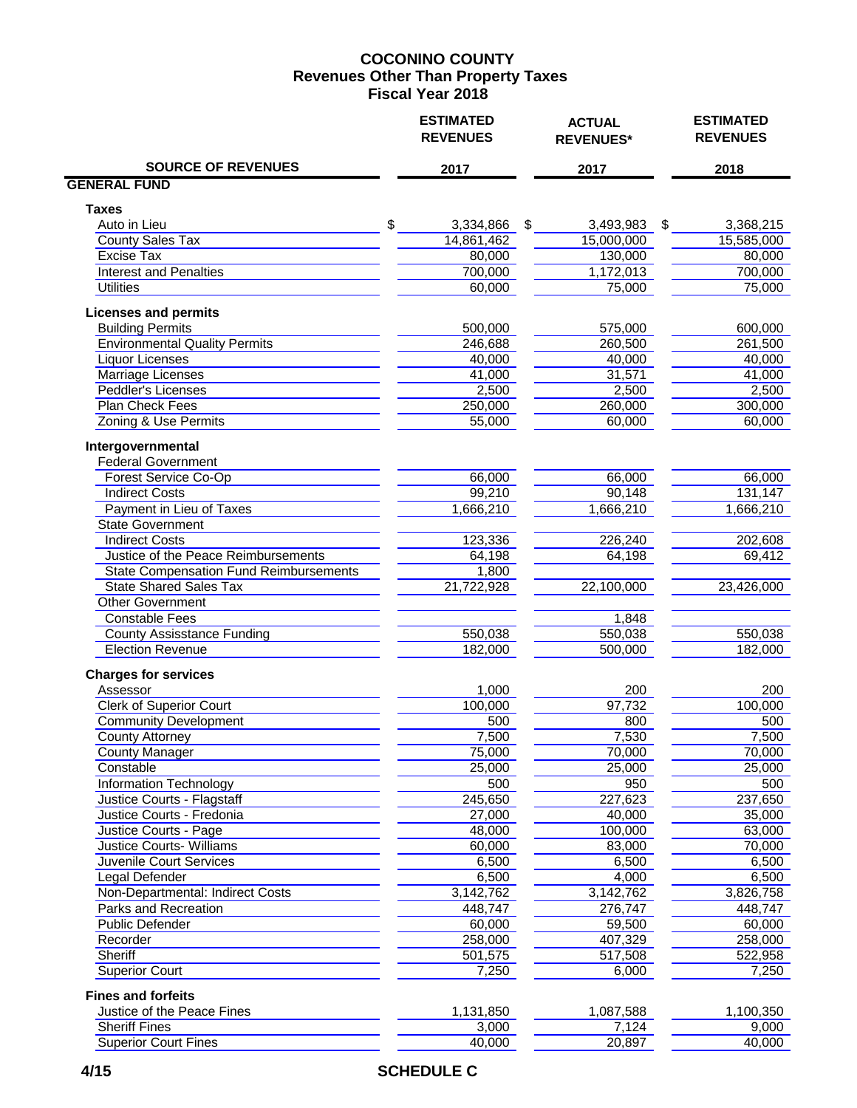### **COCONINO COUNTY Fiscal Year 2018 Revenues Other Than Property Taxes**

|                                                   | <b>ESTIMATED</b><br><b>REVENUES</b> |    | <b>ACTUAL</b><br><b>REVENUES*</b> | <b>ESTIMATED</b><br><b>REVENUES</b> |
|---------------------------------------------------|-------------------------------------|----|-----------------------------------|-------------------------------------|
| <b>SOURCE OF REVENUES</b>                         | 2017                                |    | 2017                              | 2018                                |
| <b>GENERAL FUND</b>                               |                                     |    |                                   |                                     |
| <b>Taxes</b>                                      |                                     |    |                                   |                                     |
| Auto in Lieu                                      | \$<br>3,334,866                     | \$ | 3,493,983                         | \$<br>3,368,215                     |
| <b>County Sales Tax</b>                           | 14,861,462                          |    | 15,000,000                        | 15,585,000                          |
| Excise Tax                                        | 80,000                              |    | 130,000                           | 80,000                              |
| <b>Interest and Penalties</b>                     | 700,000                             |    | 1,172,013                         | 700,000                             |
| <b>Utilities</b>                                  | 60,000                              |    | 75,000                            | 75,000                              |
| <b>Licenses and permits</b>                       |                                     |    |                                   |                                     |
| <b>Building Permits</b>                           | 500,000                             |    | 575,000                           | 600,000                             |
| <b>Environmental Quality Permits</b>              | 246,688                             |    | 260,500                           | 261,500                             |
| <b>Liquor Licenses</b>                            | 40,000                              |    | 40,000                            | 40,000                              |
| <b>Marriage Licenses</b>                          | 41,000                              |    | 31,571                            | 41,000                              |
| <b>Peddler's Licenses</b>                         | 2,500                               |    | 2,500                             | 2,500                               |
| <b>Plan Check Fees</b>                            | 250,000                             |    | 260,000                           | 300,000                             |
| Zoning & Use Permits                              | 55,000                              |    | 60,000                            | 60,000                              |
| Intergovernmental                                 |                                     |    |                                   |                                     |
| <b>Federal Government</b>                         |                                     |    |                                   |                                     |
| Forest Service Co-Op                              | 66,000                              |    | 66,000                            | 66,000                              |
| <b>Indirect Costs</b>                             | 99,210                              |    | 90,148                            | 131,147                             |
| <b>Payment in Lieu of Taxes</b>                   | 1,666,210                           |    | 1,666,210                         | 1,666,210                           |
| <b>State Government</b><br><b>Indirect Costs</b>  |                                     |    |                                   |                                     |
| Justice of the Peace Reimbursements               | 123,336                             |    | 226,240                           | 202,608                             |
|                                                   | 64,198                              |    | 64,198                            | 69,412                              |
| <b>State Compensation Fund Reimbursements</b>     | 1,800                               |    |                                   |                                     |
| <b>State Shared Sales Tax</b><br>Other Government | 21,722,928                          |    | 22,100,000                        | 23,426,000                          |
| <b>Constable Fees</b>                             |                                     |    | 1,848                             |                                     |
| <b>County Assisstance Funding</b>                 | 550,038                             |    | 550,038                           | 550,038                             |
| <b>Election Revenue</b>                           | 182,000                             |    | 500,000                           | 182,000                             |
| <b>Charges for services</b>                       |                                     |    |                                   |                                     |
| Assessor                                          | 1,000                               |    | 200                               | 200                                 |
| <b>Clerk of Superior Court</b>                    | 100,000                             |    | 97,732                            | 100,000                             |
| <b>Community Development</b>                      | 500                                 |    | 800                               | 500                                 |
| <b>County Attorney</b>                            | 7,500                               |    | 7,530                             | 7,500                               |
| <b>County Manager</b>                             | 75,000                              |    | 70,000                            | 70,000                              |
| Constable                                         | 25,000                              |    | 25,000                            | 25,000                              |
| <b>Information Technology</b>                     | 500                                 |    | 950                               | 500                                 |
| Justice Courts - Flagstaff                        | 245,650                             |    | 227,623                           | 237,650                             |
| Justice Courts - Fredonia                         | 27,000                              |    | 40,000                            | 35,000                              |
| Justice Courts - Page                             | 48,000                              |    | 100,000                           | 63,000                              |
| <b>Justice Courts-Williams</b>                    | 60,000                              |    | 83,000                            | 70,000                              |
| Juvenile Court Services                           | 6,500                               |    | 6,500                             | 6,500                               |
| <b>Legal Defender</b>                             | 6,500                               |    | 4,000                             | 6,500                               |
| Non-Departmental: Indirect Costs                  | 3,142,762                           |    | 3,142,762                         | 3,826,758                           |
| Parks and Recreation                              | 448,747                             |    | 276,747                           | 448,747                             |
| <b>Public Defender</b>                            | 60,000                              |    | 59,500                            | 60,000                              |
| Recorder                                          | 258,000                             |    | 407,329                           | 258,000                             |
| <b>Sheriff</b>                                    | 501,575                             |    | 517,508                           | 522,958                             |
| <b>Superior Court</b>                             | 7,250                               |    | 6,000                             | 7,250                               |
| <b>Fines and forfeits</b>                         |                                     |    |                                   |                                     |
| Justice of the Peace Fines                        | 1,131,850                           |    | 1,087,588                         | 1,100,350                           |
| <b>Sheriff Fines</b>                              | 3,000                               |    | 7,124                             | 9,000                               |
| <b>Superior Court Fines</b>                       | 40,000                              |    | 20,897                            | 40,000                              |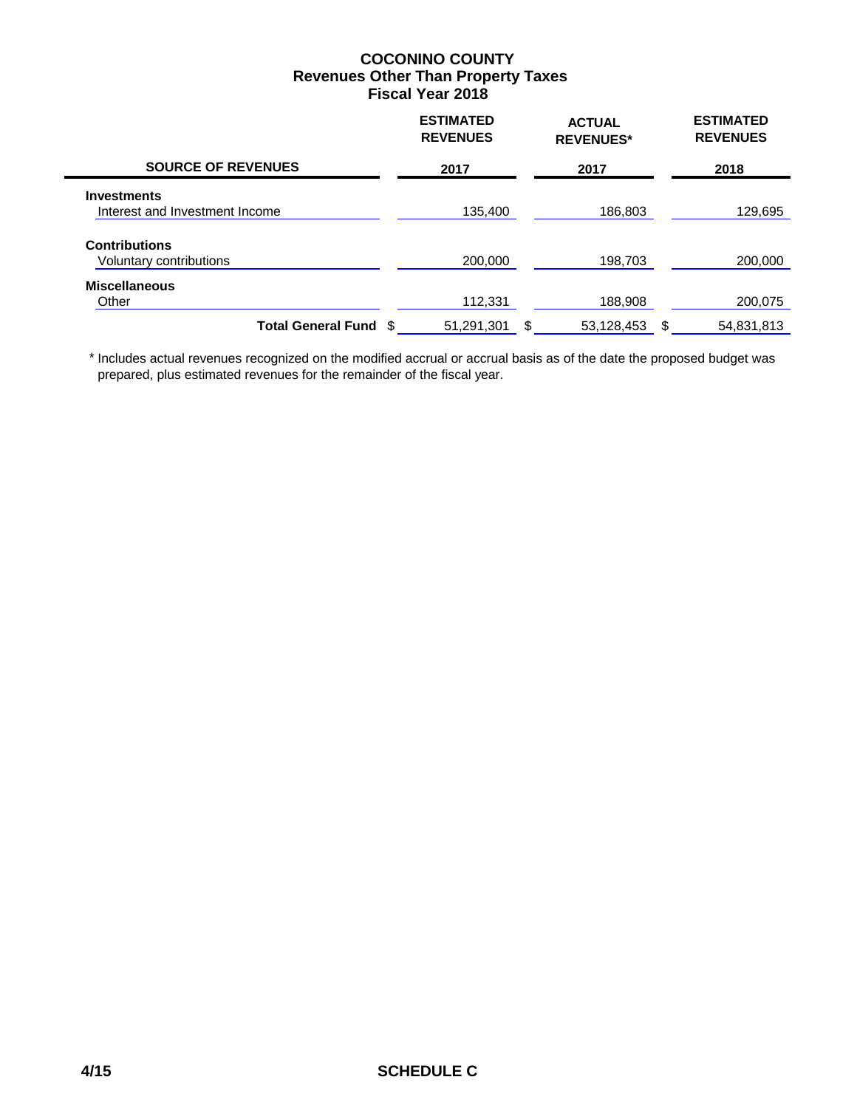### **COCONINO COUNTY Fiscal Year 2018 Revenues Other Than Property Taxes**

|                                                      | <b>ESTIMATED</b><br><b>REVENUES</b> | <b>ACTUAL</b><br><b>REVENUES*</b> | <b>ESTIMATED</b><br><b>REVENUES</b> |
|------------------------------------------------------|-------------------------------------|-----------------------------------|-------------------------------------|
| <b>SOURCE OF REVENUES</b>                            | 2017                                | 2017                              | 2018                                |
| <b>Investments</b><br>Interest and Investment Income | 135.400                             | 186.803                           | 129,695                             |
| <b>Contributions</b><br>Voluntary contributions      | 200,000                             | 198,703                           | 200,000                             |
| <b>Miscellaneous</b><br>Other                        | 112,331                             | 188,908                           | 200,075                             |
| Total General Fund \$                                | 51,291,301                          | \$<br>53,128,453                  | \$<br>54,831,813                    |

 \* Includes actual revenues recognized on the modified accrual or accrual basis as of the date the proposed budget was prepared, plus estimated revenues for the remainder of the fiscal year.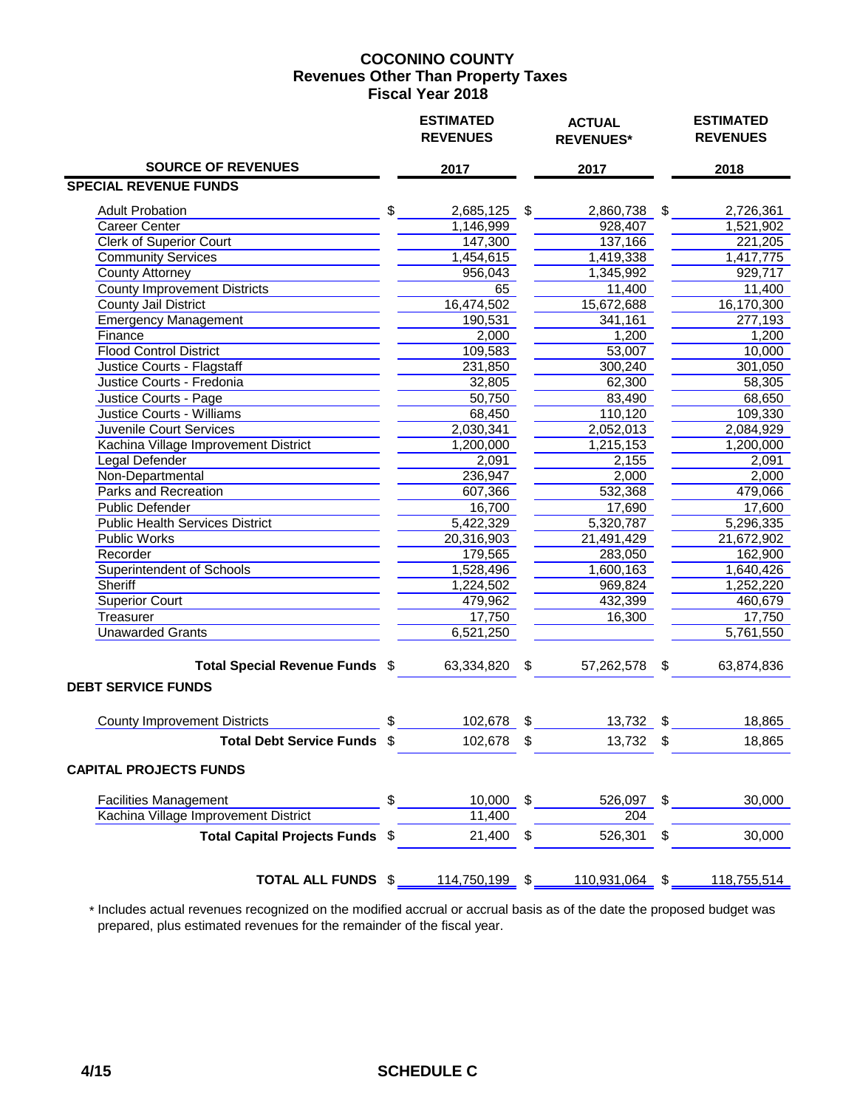### **COCONINO COUNTY Fiscal Year 2018 Revenues Other Than Property Taxes**

|                                                             |     | <b>ESTIMATED</b><br><b>REVENUES</b>        |     | <b>ACTUAL</b><br><b>REVENUES*</b> |     | <b>ESTIMATED</b><br><b>REVENUES</b> |  |
|-------------------------------------------------------------|-----|--------------------------------------------|-----|-----------------------------------|-----|-------------------------------------|--|
| <b>SOURCE OF REVENUES</b>                                   |     | 2017                                       |     | 2017                              |     | 2018                                |  |
| <b>SPECIAL REVENUE FUNDS</b>                                |     |                                            |     |                                   |     |                                     |  |
| <b>Adult Probation</b>                                      |     | $$\overline{\phantom{a}3}$<br>2,685,125 \$ |     | 2,860,738 \$                      |     | 2,726,361                           |  |
| <b>Career Center</b>                                        |     | 1,146,999                                  |     | 928,407                           |     | 1,521,902                           |  |
| <b>Clerk of Superior Court</b>                              |     | 147,300                                    |     | 137,166                           |     | 221,205                             |  |
| <b>Community Services</b>                                   |     | 1,454,615                                  |     | 1,419,338                         |     | 1,417,775                           |  |
| <b>County Attorney</b>                                      |     | 956,043                                    |     | 1,345,992                         |     | 929,717                             |  |
| <b>County Improvement Districts</b>                         |     | 65                                         |     | 11,400                            |     | 11,400                              |  |
| <b>County Jail District</b>                                 |     | 16,474,502                                 |     | 15,672,688                        |     | 16,170,300                          |  |
| <b>Emergency Management</b>                                 |     | 190,531                                    |     | 341,161                           |     | 277,193                             |  |
| Finance                                                     |     | $\overline{2,000}$                         |     | 1,200                             |     | 1,200                               |  |
| <b>Flood Control District</b>                               |     | 109,583                                    |     | 53,007                            |     | 10,000                              |  |
| Justice Courts - Flagstaff                                  |     | 231,850                                    |     | 300,240                           |     | 301,050                             |  |
| Justice Courts - Fredonia                                   |     | 32,805                                     |     | 62,300                            |     | 58,305                              |  |
| Justice Courts - Page                                       |     | 50,750                                     |     | 83,490                            |     | 68,650                              |  |
| <b>Justice Courts - Williams</b>                            |     | 68,450                                     |     | 110,120                           |     | 109,330                             |  |
| <b>Juvenile Court Services</b>                              |     | 2,030,341                                  |     | 2,052,013                         |     | 2,084,929                           |  |
| Kachina Village Improvement District                        |     | 1,200,000                                  |     | 1,215,153                         |     | 1,200,000                           |  |
| Legal Defender                                              |     | 2,091                                      |     | 2,155                             |     | 2,091                               |  |
| Non-Departmental                                            |     | 236,947                                    |     | 2,000                             |     | 2,000                               |  |
| <b>Parks and Recreation</b>                                 |     | 607,366                                    |     | 532,368                           |     | 479,066                             |  |
| <b>Public Defender</b>                                      |     | 16,700                                     |     | 17,690                            |     | 17,600                              |  |
| <b>Public Health Services District</b>                      |     | 5,422,329                                  |     | 5,320,787                         |     | 5,296,335                           |  |
| <b>Public Works</b>                                         |     | 20,316,903                                 |     | 21,491,429                        |     | 21,672,902                          |  |
| Recorder                                                    |     | 179,565                                    |     | 283,050                           |     | 162,900                             |  |
| <b>Superintendent of Schools</b>                            |     | 1,528,496                                  |     | 1,600,163                         |     | 1,640,426                           |  |
| <b>Sheriff</b>                                              |     | 1,224,502                                  |     | 969,824                           |     | 1,252,220                           |  |
| <b>Superior Court</b>                                       |     | 479,962                                    |     | 432,399                           |     | 460,679                             |  |
| Treasurer                                                   |     | 17,750                                     |     | 16,300                            |     | 17,750                              |  |
| <b>Unawarded Grants</b>                                     |     | 6,521,250                                  |     |                                   |     | 5,761,550                           |  |
| Total Special Revenue Funds \$<br><b>DEBT SERVICE FUNDS</b> |     | 63,334,820 \$                              |     | 57,262,578 \$                     |     | 63,874,836                          |  |
|                                                             |     |                                            |     |                                   |     |                                     |  |
| <b>County Improvement Districts</b>                         | \$  | 102,678 \$                                 |     | 13,732 \$                         |     | 18,865                              |  |
| <b>Total Debt Service Funds</b>                             | \$. | 102,678                                    | \$. | 13,732                            | \$. | 18,865                              |  |
| <b>CAPITAL PROJECTS FUNDS</b>                               |     |                                            |     |                                   |     |                                     |  |
| <b>Facilities Management</b>                                | \$  | 10,000                                     | \$  | 526,097                           | \$  | 30,000                              |  |
| Kachina Village Improvement District                        |     | 11,400                                     |     | 204                               |     |                                     |  |
| <b>Total Capital Projects Funds</b>                         | \$  | 21,400                                     | \$  | 526,301                           | \$  | 30,000                              |  |
| <b>TOTAL ALL FUNDS \$</b>                                   |     | 114,750,199 \$                             |     | 110,931,064 \$                    |     | 118,755,514                         |  |

 \* Includes actual revenues recognized on the modified accrual or accrual basis as of the date the proposed budget was prepared, plus estimated revenues for the remainder of the fiscal year.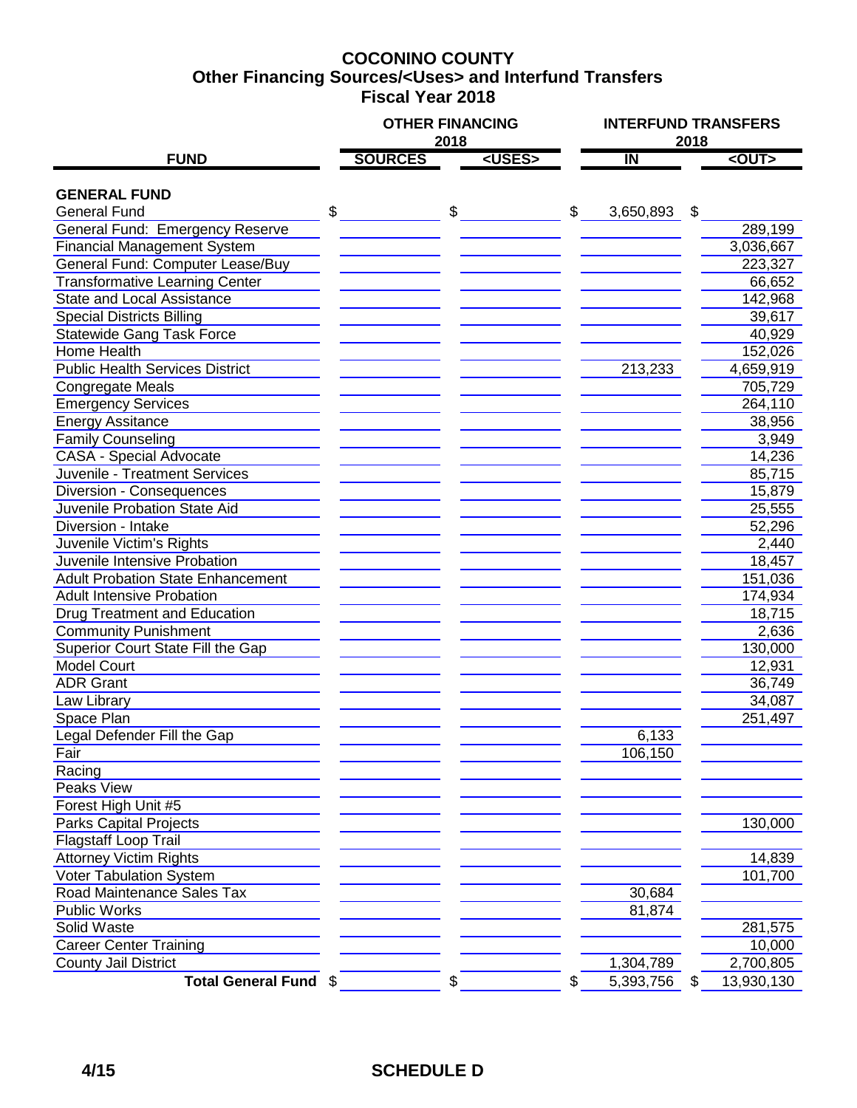## **COCONINO COUNTY Fiscal Year 2018 Other Financing Sources/<Uses> and Interfund Transfers**

|                                          |                | <b>OTHER FINANCING</b> |                         | <b>INTERFUND TRANSFERS</b> |             |  |  |
|------------------------------------------|----------------|------------------------|-------------------------|----------------------------|-------------|--|--|
|                                          |                | 2018                   |                         | 2018                       |             |  |  |
| <b>FUND</b>                              | <b>SOURCES</b> | <uses></uses>          | $\overline{\mathsf{I}}$ |                            | $<$ OUT $>$ |  |  |
| <b>GENERAL FUND</b>                      |                |                        |                         |                            |             |  |  |
| <b>General Fund</b>                      | \$             | \$                     | \$<br>3,650,893         | \$                         |             |  |  |
| <b>General Fund: Emergency Reserve</b>   |                |                        |                         |                            | 289,199     |  |  |
| <b>Financial Management System</b>       |                |                        |                         |                            | 3,036,667   |  |  |
| General Fund: Computer Lease/Buy         |                |                        |                         |                            | 223,327     |  |  |
| <b>Transformative Learning Center</b>    |                |                        |                         |                            | 66,652      |  |  |
| <b>State and Local Assistance</b>        |                |                        |                         |                            | 142,968     |  |  |
| <b>Special Districts Billing</b>         |                |                        |                         |                            | 39,617      |  |  |
| <b>Statewide Gang Task Force</b>         |                |                        |                         |                            | 40,929      |  |  |
| Home Health                              |                |                        |                         |                            | 152,026     |  |  |
| <b>Public Health Services District</b>   |                |                        | 213,233                 |                            | 4,659,919   |  |  |
| <b>Congregate Meals</b>                  |                |                        |                         |                            | 705,729     |  |  |
| <b>Emergency Services</b>                |                |                        |                         |                            | 264,110     |  |  |
| <b>Energy Assitance</b>                  |                |                        |                         |                            | 38,956      |  |  |
| <b>Family Counseling</b>                 |                |                        |                         |                            | 3,949       |  |  |
| <b>CASA - Special Advocate</b>           |                |                        |                         |                            | 14,236      |  |  |
| Juvenile - Treatment Services            |                |                        |                         |                            | 85,715      |  |  |
| <b>Diversion - Consequences</b>          |                |                        |                         |                            | 15,879      |  |  |
| Juvenile Probation State Aid             |                |                        |                         |                            | 25,555      |  |  |
| Diversion - Intake                       |                |                        |                         |                            | 52,296      |  |  |
| Juvenile Victim's Rights                 |                |                        |                         |                            | 2,440       |  |  |
| Juvenile Intensive Probation             |                |                        |                         |                            | 18,457      |  |  |
| <b>Adult Probation State Enhancement</b> |                |                        |                         |                            | 151,036     |  |  |
| <b>Adult Intensive Probation</b>         |                |                        |                         |                            | 174,934     |  |  |
| Drug Treatment and Education             |                |                        |                         |                            | 18,715      |  |  |
| <b>Community Punishment</b>              |                |                        |                         |                            | 2,636       |  |  |
| Superior Court State Fill the Gap        |                |                        |                         |                            | 130,000     |  |  |
| <b>Model Court</b>                       |                |                        |                         |                            | 12,931      |  |  |
| <b>ADR Grant</b>                         |                |                        |                         |                            | 36,749      |  |  |
| Law Library                              |                |                        |                         |                            | 34,087      |  |  |
| Space Plan                               |                |                        |                         |                            | 251,497     |  |  |
| Legal Defender Fill the Gap              |                |                        | 6,133                   |                            |             |  |  |
| Fair                                     |                |                        | 106,150                 |                            |             |  |  |
| Racing                                   |                |                        |                         |                            |             |  |  |
| Peaks View                               |                |                        |                         |                            |             |  |  |
| Forest High Unit #5                      |                |                        |                         |                            |             |  |  |
| <b>Parks Capital Projects</b>            |                |                        |                         |                            | 130,000     |  |  |
| Flagstaff Loop Trail                     |                |                        |                         |                            |             |  |  |
| <b>Attorney Victim Rights</b>            |                |                        |                         |                            | 14,839      |  |  |
| Voter Tabulation System                  |                |                        |                         |                            | 101,700     |  |  |
| Road Maintenance Sales Tax               |                |                        | 30,684                  |                            |             |  |  |
| <b>Public Works</b>                      |                |                        | 81,874                  |                            |             |  |  |
| Solid Waste                              |                |                        |                         |                            | 281,575     |  |  |
| <b>Career Center Training</b>            |                |                        |                         |                            | 10,000      |  |  |
| <b>County Jail District</b>              |                |                        | 1,304,789               |                            | 2,700,805   |  |  |
| Total General Fund \$                    |                | \$                     | \$<br>5,393,756         | \$                         | 13,930,130  |  |  |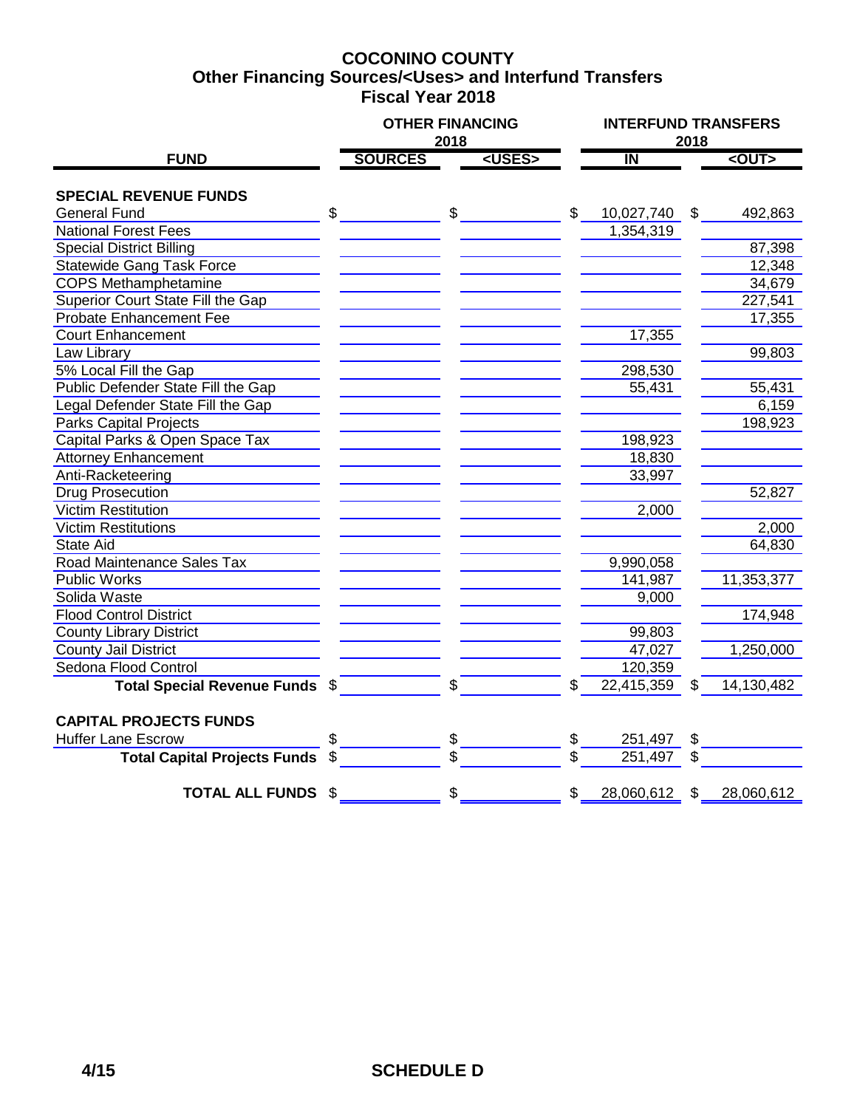### **COCONINO COUNTY Fiscal Year 2018 Other Financing Sources/<Uses> and Interfund Transfers**

|                                     | <b>OTHER FINANCING</b><br>2018 |               |                         |                | <b>INTERFUND TRANSFERS</b><br>2018 |  |  |  |
|-------------------------------------|--------------------------------|---------------|-------------------------|----------------|------------------------------------|--|--|--|
| <b>FUND</b>                         | <b>SOURCES</b>                 | <uses></uses> | $\overline{\mathsf{I}}$ |                | $<$ OUT $>$                        |  |  |  |
| <b>SPECIAL REVENUE FUNDS</b>        |                                |               |                         |                |                                    |  |  |  |
| <b>General Fund</b>                 | \$<br>\$                       |               | \$<br>10,027,740        | $\mathfrak{L}$ | 492,863                            |  |  |  |
| <b>National Forest Fees</b>         |                                |               | 1,354,319               |                |                                    |  |  |  |
| <b>Special District Billing</b>     |                                |               |                         |                | 87,398                             |  |  |  |
| <b>Statewide Gang Task Force</b>    |                                |               |                         |                | 12,348                             |  |  |  |
| <b>COPS Methamphetamine</b>         |                                |               |                         |                | 34,679                             |  |  |  |
| Superior Court State Fill the Gap   |                                |               |                         |                | 227,541                            |  |  |  |
| <b>Probate Enhancement Fee</b>      |                                |               |                         |                | 17,355                             |  |  |  |
| <b>Court Enhancement</b>            |                                |               | 17,355                  |                |                                    |  |  |  |
| Law Library                         |                                |               |                         |                | 99,803                             |  |  |  |
| 5% Local Fill the Gap               |                                |               | 298,530                 |                |                                    |  |  |  |
| Public Defender State Fill the Gap  |                                |               | 55,431                  |                | 55,431                             |  |  |  |
| Legal Defender State Fill the Gap   |                                |               |                         |                | 6,159                              |  |  |  |
| <b>Parks Capital Projects</b>       |                                |               |                         |                | 198,923                            |  |  |  |
| Capital Parks & Open Space Tax      |                                |               | 198,923                 |                |                                    |  |  |  |
| <b>Attorney Enhancement</b>         |                                |               | 18,830                  |                |                                    |  |  |  |
| Anti-Racketeering                   |                                |               | 33,997                  |                |                                    |  |  |  |
| <b>Drug Prosecution</b>             |                                |               |                         |                | 52,827                             |  |  |  |
| <b>Victim Restitution</b>           |                                |               | 2,000                   |                |                                    |  |  |  |
| Victim Restitutions                 |                                |               |                         |                | 2,000                              |  |  |  |
| <b>State Aid</b>                    |                                |               |                         |                | 64,830                             |  |  |  |
| Road Maintenance Sales Tax          |                                |               | 9,990,058               |                |                                    |  |  |  |
| <b>Public Works</b>                 |                                |               | 141,987                 |                | 11,353,377                         |  |  |  |
| Solida Waste                        |                                |               | 9,000                   |                |                                    |  |  |  |
| <b>Flood Control District</b>       |                                |               |                         |                | 174,948                            |  |  |  |
| <b>County Library District</b>      |                                |               | 99,803                  |                |                                    |  |  |  |
| <b>County Jail District</b>         |                                |               | 47,027                  |                | 1,250,000                          |  |  |  |
| Sedona Flood Control                |                                |               | 120,359                 |                |                                    |  |  |  |
| Total Special Revenue Funds \$      | \$                             |               | \$<br>22,415,359        | \$             | 14,130,482                         |  |  |  |
| <b>CAPITAL PROJECTS FUNDS</b>       |                                |               |                         |                |                                    |  |  |  |
| <b>Huffer Lane Escrow</b>           | \$                             |               | \$<br>251,497           | \$             |                                    |  |  |  |
| <b>Total Capital Projects Funds</b> | \$                             |               | \$<br>251,497           | \$             |                                    |  |  |  |
| <b>TOTAL ALL FUNDS</b>              | \$<br>\$                       |               | \$<br>28,060,612 \$     |                | 28,060,612                         |  |  |  |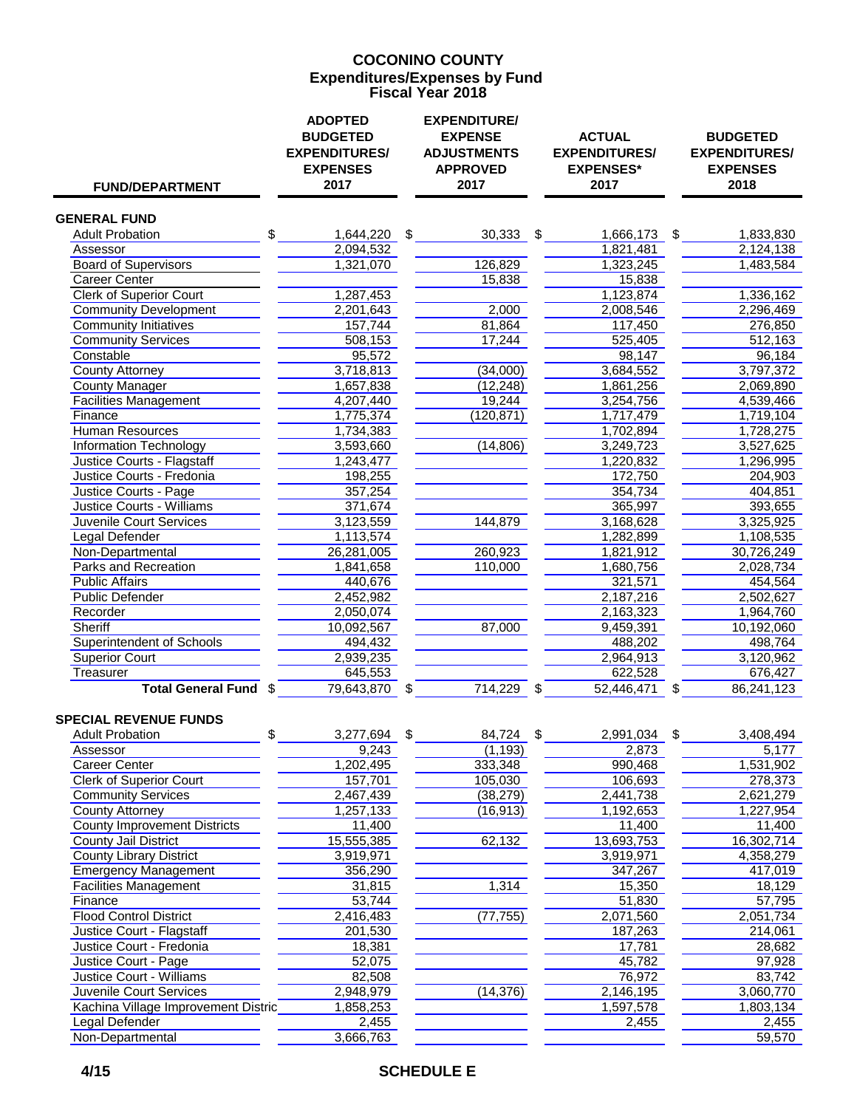#### **COCONINO COUNTY Fiscal Year 2018 Expenditures/Expenses by Fund**

| <b>FUND/DEPARTMENT</b>                                 | <b>ADOPTED</b><br><b>BUDGETED</b><br><b>EXPENDITURES/</b><br><b>EXPENSES</b><br>2017 | <b>EXPENDITURE/</b><br><b>EXPENSE</b><br><b>ADJUSTMENTS</b><br><b>APPROVED</b><br>2017 | <b>ACTUAL</b><br><b>EXPENDITURES/</b><br><b>EXPENSES*</b><br>2017 | <b>BUDGETED</b><br><b>EXPENDITURES/</b><br><b>EXPENSES</b><br>2018 |
|--------------------------------------------------------|--------------------------------------------------------------------------------------|----------------------------------------------------------------------------------------|-------------------------------------------------------------------|--------------------------------------------------------------------|
| <b>GENERAL FUND</b>                                    |                                                                                      |                                                                                        |                                                                   |                                                                    |
| <b>Adult Probation</b>                                 | \$<br>1,644,220                                                                      | \$<br>$30,333$ \$                                                                      | 1,666,173                                                         | \$<br>1,833,830                                                    |
| Assessor                                               | 2,094,532                                                                            |                                                                                        | 1,821,481                                                         | 2,124,138                                                          |
| <b>Board of Supervisors</b>                            | 1,321,070                                                                            | 126,829                                                                                | 1,323,245                                                         | 1,483,584                                                          |
| <b>Career Center</b>                                   |                                                                                      | 15,838                                                                                 | 15,838                                                            |                                                                    |
| <b>Clerk of Superior Court</b>                         | 1,287,453                                                                            |                                                                                        | 1,123,874                                                         | 1,336,162                                                          |
| <b>Community Development</b>                           | 2,201,643                                                                            | 2,000                                                                                  | 2,008,546                                                         | 2,296,469                                                          |
| <b>Community Initiatives</b>                           | 157,744                                                                              | 81,864                                                                                 | 117,450                                                           | 276,850                                                            |
| <b>Community Services</b>                              | 508,153                                                                              | 17,244                                                                                 | 525,405                                                           | 512,163                                                            |
| Constable                                              | 95,572                                                                               |                                                                                        | 98,147                                                            | 96,184                                                             |
| <b>County Attorney</b>                                 | 3,718,813                                                                            | (34,000)                                                                               | 3,684,552                                                         | 3,797,372                                                          |
| <b>County Manager</b>                                  | 1,657,838                                                                            | (12, 248)                                                                              | 1,861,256                                                         | 2,069,890                                                          |
| <b>Facilities Management</b>                           | 4,207,440                                                                            | 19,244                                                                                 | 3,254,756                                                         | 4,539,466                                                          |
| Finance                                                | 1,775,374                                                                            | (120, 871)                                                                             | 1,717,479                                                         | 1,719,104                                                          |
| <b>Human Resources</b>                                 | 1,734,383                                                                            |                                                                                        | 1,702,894                                                         | 1,728,275                                                          |
| <b>Information Technology</b>                          | 3,593,660                                                                            | (14, 806)                                                                              | 3,249,723                                                         | 3,527,625                                                          |
| <b>Justice Courts - Flagstaff</b>                      | 1,243,477                                                                            |                                                                                        | 1,220,832                                                         | 1,296,995                                                          |
| Justice Courts - Fredonia                              | 198,255                                                                              |                                                                                        | 172,750                                                           | 204,903                                                            |
| Justice Courts - Page                                  | 357,254                                                                              |                                                                                        | 354,734                                                           | 404,851                                                            |
| <b>Justice Courts - Williams</b>                       | 371,674                                                                              |                                                                                        | 365,997                                                           | 393,655                                                            |
| Juvenile Court Services                                | 3,123,559<br>1,113,574                                                               | 144,879                                                                                | 3,168,628<br>1,282,899                                            | 3,325,925<br>1,108,535                                             |
| <b>Legal Defender</b><br>Non-Departmental              |                                                                                      | 260,923                                                                                |                                                                   |                                                                    |
| Parks and Recreation                                   | 26,281,005<br>1,841,658                                                              | 110,000                                                                                | 1,821,912                                                         | 30,726,249<br>2,028,734                                            |
| <b>Public Affairs</b>                                  | 440,676                                                                              |                                                                                        | 1,680,756<br>321,571                                              | 454,564                                                            |
| <b>Public Defender</b>                                 | 2,452,982                                                                            |                                                                                        | 2,187,216                                                         | 2,502,627                                                          |
| Recorder                                               | 2,050,074                                                                            |                                                                                        | 2,163,323                                                         | 1,964,760                                                          |
| <b>Sheriff</b>                                         | 10,092,567                                                                           | 87,000                                                                                 | 9,459,391                                                         | 10,192,060                                                         |
| <b>Superintendent of Schools</b>                       | 494,432                                                                              |                                                                                        | 488,202                                                           | 498,764                                                            |
| <b>Superior Court</b>                                  | 2,939,235                                                                            |                                                                                        | 2,964,913                                                         | 3,120,962                                                          |
| Treasurer                                              | 645,553                                                                              |                                                                                        | 622,528                                                           | 676,427                                                            |
| Total General Fund \$                                  | 79,643,870                                                                           | \$<br>714,229                                                                          | \$<br>52,446,471                                                  | \$<br>86,241,123                                                   |
| <b>SPECIAL REVENUE FUNDS</b><br><b>Adult Probation</b> | \$<br>3,277,694                                                                      | \$<br>84,724                                                                           | \$<br>2,991,034                                                   | \$<br>3,408,494                                                    |
| Assessor                                               | 9,243                                                                                | (1, 193)                                                                               | 2,873                                                             | 5,177                                                              |
| <b>Career Center</b>                                   | 1,202,495                                                                            | 333,348                                                                                | 990,468                                                           | 1,531,902                                                          |
| <b>Clerk of Superior Court</b>                         | 157,701                                                                              | 105,030                                                                                | 106,693                                                           | 278,373                                                            |
| <b>Community Services</b>                              | 2,467,439                                                                            | (38, 279)                                                                              | 2,441,738                                                         | 2,621,279                                                          |
| <b>County Attorney</b>                                 | 1,257,133                                                                            | (16, 913)                                                                              | 1,192,653                                                         | 1,227,954                                                          |
| <b>County Improvement Districts</b>                    | 11,400                                                                               |                                                                                        | 11,400                                                            | 11,400                                                             |
| <b>County Jail District</b>                            | 15,555,385                                                                           | 62,132                                                                                 | 13,693,753                                                        | 16,302,714                                                         |
| <b>County Library District</b>                         | 3,919,971                                                                            |                                                                                        | 3,919,971                                                         | 4,358,279                                                          |
| <b>Emergency Management</b>                            | 356,290                                                                              |                                                                                        | 347,267                                                           | 417,019                                                            |
| <b>Facilities Management</b>                           | 31,815                                                                               | 1,314                                                                                  | 15,350                                                            | 18,129                                                             |
| Finance                                                | 53,744                                                                               |                                                                                        | 51,830                                                            | 57,795                                                             |
| <b>Flood Control District</b>                          | 2,416,483                                                                            | (77, 755)                                                                              | 2,071,560                                                         | 2,051,734                                                          |
| Justice Court - Flagstaff                              | 201,530                                                                              |                                                                                        | 187,263                                                           | 214,061                                                            |
| Justice Court - Fredonia                               | 18,381                                                                               |                                                                                        | 17,781                                                            | 28,682                                                             |
| Justice Court - Page                                   | 52,075                                                                               |                                                                                        | 45,782                                                            | 97,928                                                             |
| <b>Justice Court - Williams</b>                        | 82,508                                                                               |                                                                                        | 76,972                                                            | 83,742                                                             |
| <b>Juvenile Court Services</b>                         | 2,948,979                                                                            | (14, 376)                                                                              | 2,146,195                                                         | 3,060,770                                                          |
| Kachina Village Improvement Distric                    | 1,858,253                                                                            |                                                                                        | 1,597,578                                                         | 1,803,134                                                          |
| Legal Defender                                         | 2,455                                                                                |                                                                                        | 2,455                                                             | 2,455                                                              |
| Non-Departmental                                       | 3,666,763                                                                            |                                                                                        |                                                                   | 59,570                                                             |

## **4/15 SCHEDULE E**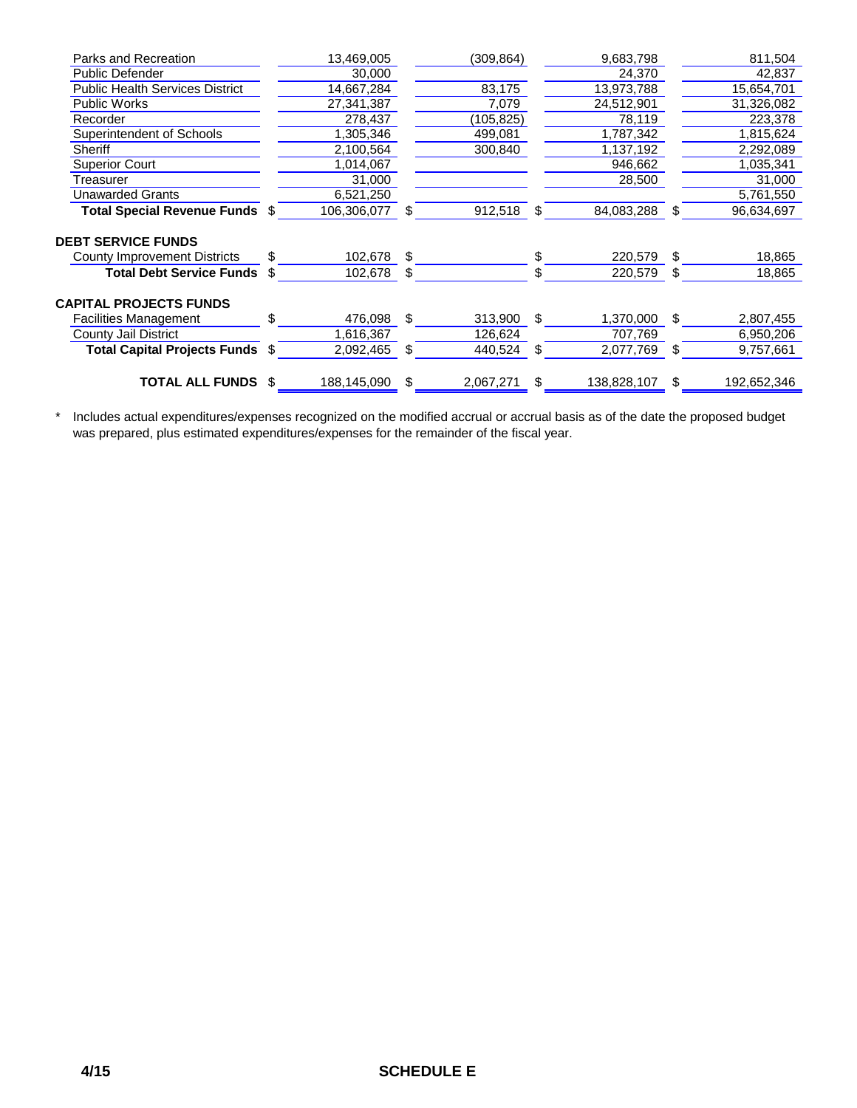| Parks and Recreation                   |     | 13,469,005  |     | (309, 864) |     | 9,683,798   |     | 811,504     |
|----------------------------------------|-----|-------------|-----|------------|-----|-------------|-----|-------------|
| Public Defender                        |     | 30,000      |     |            |     | 24,370      |     | 42,837      |
| <b>Public Health Services District</b> |     | 14,667,284  |     | 83,175     |     | 13,973,788  |     | 15,654,701  |
| <b>Public Works</b>                    |     | 27,341,387  |     | 7,079      |     | 24,512,901  |     | 31,326,082  |
| Recorder                               |     | 278,437     |     | (105, 825) |     | 78,119      |     | 223,378     |
| Superintendent of Schools              |     | 1,305,346   |     | 499,081    |     | 1,787,342   |     | 1,815,624   |
| Sheriff                                |     | 2,100,564   |     | 300,840    |     | 1,137,192   |     | 2,292,089   |
| <b>Superior Court</b>                  |     | 1,014,067   |     |            |     | 946,662     |     | 1,035,341   |
| Treasurer                              |     | 31,000      |     |            |     | 28,500      |     | 31,000      |
| Unawarded Grants                       |     | 6,521,250   |     |            |     |             |     | 5,761,550   |
| Total Special Revenue Funds \$         |     | 106,306,077 | S   | 912,518    | -\$ | 84,083,288  | S   | 96,634,697  |
| <b>DEBT SERVICE FUNDS</b>              |     |             |     |            |     |             |     |             |
| County Improvement Districts           | \$. | 102,678 \$  |     |            | \$  | 220,579     | \$. | 18,865      |
| <b>Total Debt Service Funds</b>        | \$. | 102,678     | \$  |            | \$  | 220,579     | S   | 18,865      |
| <b>CAPITAL PROJECTS FUNDS</b>          |     |             |     |            |     |             |     |             |
| <b>Facilities Management</b>           | \$. | 476,098     | \$. | 313,900    | -\$ | 1,370,000   | \$. | 2,807,455   |
| County Jail District                   |     | 1,616,367   |     | 126,624    |     | 707,769     |     | 6,950,206   |
| Total Capital Projects Funds \$        |     | 2,092,465   | -S  | 440,524    | S   | 2,077,769   | \$. | 9,757,661   |
| <b>TOTAL ALL FUNDS</b>                 | \$  | 188,145,090 | S   | 2,067,271  | -\$ | 138,828,107 | \$  | 192,652,346 |

\* Includes actual expenditures/expenses recognized on the modified accrual or accrual basis as of the date the proposed budget was prepared, plus estimated expenditures/expenses for the remainder of the fiscal year.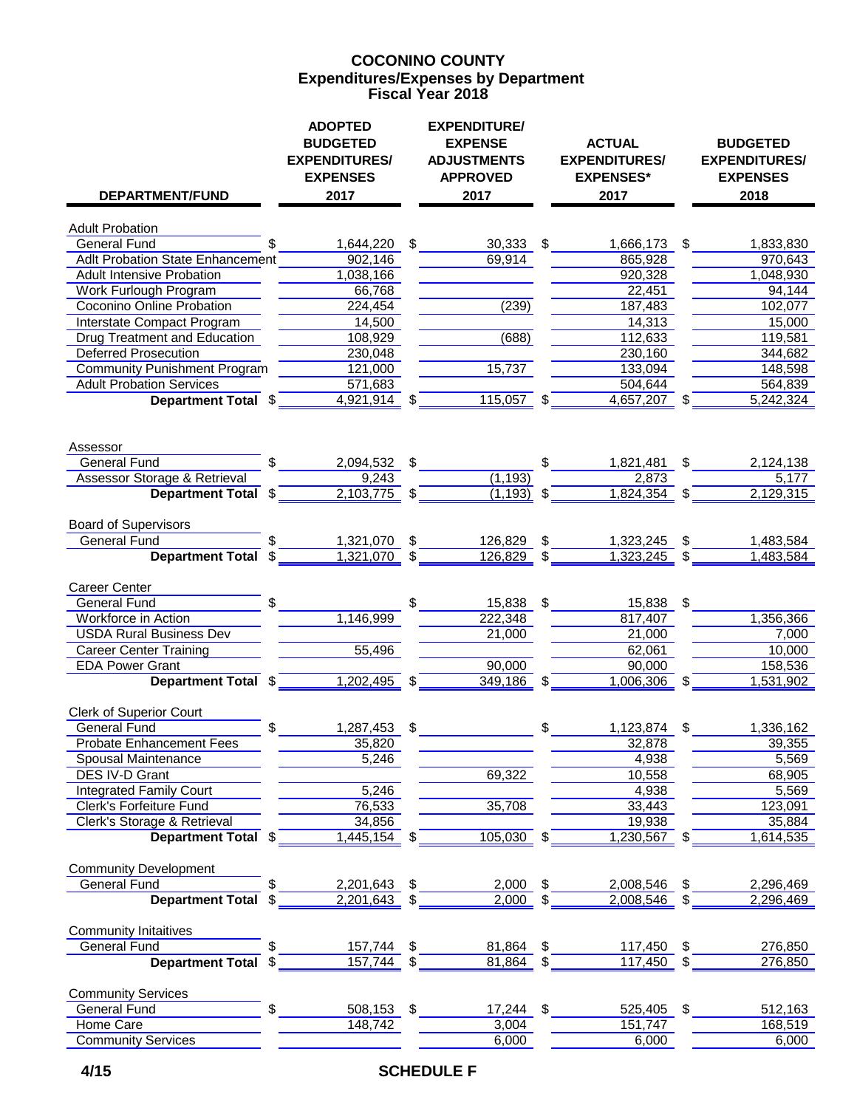### **Expenditures/Expenses by Department COCONINO COUNTY Fiscal Year 2018**

| <b>DEPARTMENT/FUND</b>                                      | <b>ADOPTED</b><br><b>BUDGETED</b><br><b>EXPENDITURES/</b><br><b>EXPENSES</b><br>2017 |                           | <b>EXPENDITURE/</b><br><b>EXPENSE</b><br><b>ADJUSTMENTS</b><br><b>APPROVED</b><br>2017 | <b>ACTUAL</b><br><b>EXPENDITURES/</b><br><b>EXPENSES*</b><br>2017 |               | <b>BUDGETED</b><br><b>EXPENDITURES/</b><br><b>EXPENSES</b><br>2018 |
|-------------------------------------------------------------|--------------------------------------------------------------------------------------|---------------------------|----------------------------------------------------------------------------------------|-------------------------------------------------------------------|---------------|--------------------------------------------------------------------|
| <b>Adult Probation</b>                                      |                                                                                      |                           |                                                                                        |                                                                   |               |                                                                    |
| General Fund                                                | 1,644,220                                                                            | $\frac{1}{2}$             | $30,333$ \$                                                                            | 1,666,173 \$                                                      |               | 1,833,830                                                          |
| <b>Adlt Probation State Enhancement</b>                     | 902,146                                                                              |                           | 69,914                                                                                 | 865,928                                                           |               | 970,643                                                            |
| <b>Adult Intensive Probation</b>                            | 1,038,166                                                                            |                           |                                                                                        | 920,328                                                           |               | 1,048,930                                                          |
| Work Furlough Program                                       | 66,768                                                                               |                           |                                                                                        | 22,451                                                            |               | 94,144                                                             |
| <b>Coconino Online Probation</b>                            | 224,454                                                                              |                           | (239)                                                                                  | 187,483                                                           |               | 102,077                                                            |
| Interstate Compact Program                                  | 14,500                                                                               |                           |                                                                                        | 14,313                                                            |               | 15,000                                                             |
| <b>Drug Treatment and Education</b>                         | 108,929                                                                              |                           | (688)                                                                                  | 112,633                                                           |               | 119,581                                                            |
| <b>Deferred Prosecution</b>                                 | 230,048                                                                              |                           |                                                                                        | 230,160                                                           |               | 344,682                                                            |
| <b>Community Punishment Program</b>                         | 121,000                                                                              |                           | 15,737                                                                                 | 133,094                                                           |               | 148,598                                                            |
| <b>Adult Probation Services</b>                             | 571,683                                                                              |                           |                                                                                        | 504,644                                                           |               | 564,839                                                            |
| Department Total \$                                         | $4,921,914$ \$                                                                       |                           | $115,057$ \$                                                                           | $4,657,207$ \$                                                    |               | 5,242,324                                                          |
| Assessor                                                    |                                                                                      |                           |                                                                                        |                                                                   |               |                                                                    |
| \$.<br><b>General Fund</b>                                  | 2,094,532                                                                            | \$                        |                                                                                        | \$<br>1,821,481                                                   | -\$           | 2,124,138                                                          |
| <b>Assessor Storage &amp; Retrieval</b>                     | 9,243<br>$2,103,775$ \$                                                              |                           | (1, 193)                                                                               | 2,873<br>$1,824,354$ \$                                           |               | 5,177                                                              |
| Department Total \$                                         |                                                                                      |                           | $(1, 193)$ \$                                                                          |                                                                   |               | 2,129,315                                                          |
| <b>Board of Supervisors</b><br><b>General Fund</b>          | 1,321,070                                                                            | $\boldsymbol{\mathsf{S}}$ | 126,829                                                                                | \$<br>1,323,245                                                   | -\$           | 1,483,584                                                          |
| <b>Department Total</b><br>\$                               | 1,321,070                                                                            |                           | 126,829                                                                                | \$<br>1,323,245                                                   | \$            | 1,483,584                                                          |
| <b>Career Center</b><br><b>General Fund</b>                 |                                                                                      | \$                        | 15,838 \$                                                                              | 15,838 \$                                                         |               |                                                                    |
| Workforce in Action                                         | 1,146,999                                                                            |                           | 222,348                                                                                | 817,407                                                           |               | 1,356,366                                                          |
| <b>USDA Rural Business Dev</b>                              |                                                                                      |                           | 21,000                                                                                 | 21,000                                                            |               | 7,000                                                              |
| <b>Career Center Training</b>                               | 55,496                                                                               |                           |                                                                                        | 62,061                                                            |               | 10,000                                                             |
| <b>EDA Power Grant</b>                                      |                                                                                      |                           | 90,000                                                                                 | 90,000                                                            |               | 158,536                                                            |
| Department Total \$                                         | $1,202,495$ \$                                                                       |                           | 349,186                                                                                | \$<br>$1,006,306$ \$                                              |               | 1,531,902                                                          |
| <b>Clerk of Superior Court</b><br><b>General Fund</b><br>\$ |                                                                                      | \$                        |                                                                                        | \$                                                                | $\sqrt[6]{3}$ | 1,336,162                                                          |
| <b>Probate Enhancement Fees</b>                             | 1,287,453<br>35,820                                                                  |                           |                                                                                        | 1,123,874<br>32,878                                               |               | 39,355                                                             |
| Spousal Maintenance                                         | 5,246                                                                                |                           |                                                                                        | 4,938                                                             |               | 5,569                                                              |
| DES IV-D Grant                                              |                                                                                      |                           | 69,322                                                                                 | 10,558                                                            |               | 68,905                                                             |
| <b>Integrated Family Court</b>                              | 5,246                                                                                |                           |                                                                                        | 4,938                                                             |               | 5,569                                                              |
| Clerk's Forfeiture Fund                                     | 76,533                                                                               |                           | 35,708                                                                                 | 33,443                                                            |               | 123,091                                                            |
| Clerk's Storage & Retrieval                                 | 34,856                                                                               |                           |                                                                                        | 19,938                                                            |               | 35,884                                                             |
| Department Total \$                                         | $1,445,154$ \$                                                                       |                           | $105,030$ \$                                                                           | $1,230,567$ \$                                                    |               | 1,614,535                                                          |
|                                                             |                                                                                      |                           |                                                                                        |                                                                   |               |                                                                    |
| <b>Community Development</b><br><b>General Fund</b>         | 2,201,643                                                                            | \$                        | $2,000$ \$                                                                             | 2,008,546                                                         | \$            | 2,296,469                                                          |
| <b>Department Total</b><br>\$                               | 2,201,643                                                                            | \$                        | 2,000                                                                                  | \$<br>$2,008,546$ \$                                              |               | 2,296,469                                                          |
| <b>Community Initaitives</b>                                |                                                                                      |                           |                                                                                        |                                                                   |               |                                                                    |
| <b>General Fund</b>                                         | 157,744                                                                              | \$                        | 81,864                                                                                 | \$<br>117,450                                                     | \$            | 276,850                                                            |
| <b>Department Total</b>                                     | 157,744                                                                              |                           | 81,864                                                                                 | \$<br>117,450                                                     | \$            | 276,850                                                            |
| <b>Community Services</b>                                   |                                                                                      |                           |                                                                                        |                                                                   |               |                                                                    |
| <b>General Fund</b><br>\$                                   | 508,153                                                                              | $\sqrt[6]{2}$             | 17,244 \$                                                                              | 525,405                                                           | \$            | 512,163                                                            |
| Home Care                                                   | 148,742                                                                              |                           | 3,004                                                                                  | 151,747                                                           |               | 168,519                                                            |
| <b>Community Services</b>                                   |                                                                                      |                           | 6,000                                                                                  | 6,000                                                             |               | 6,000                                                              |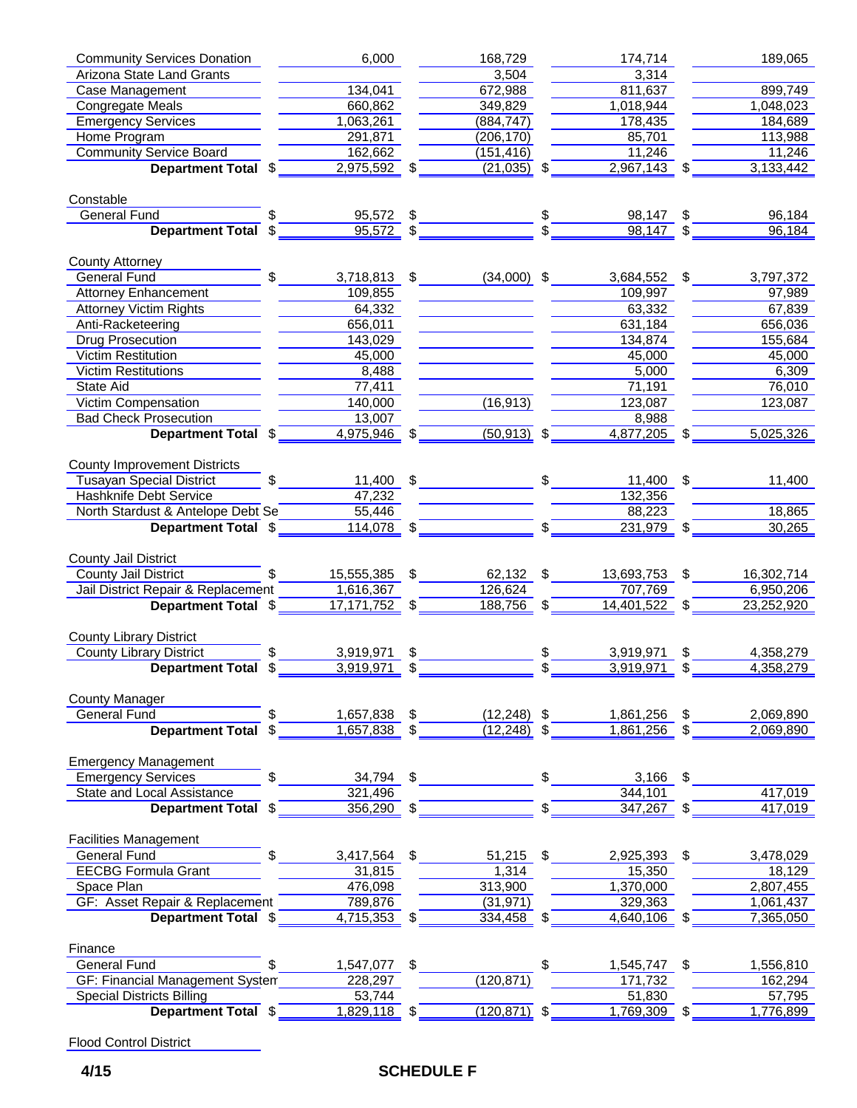| <b>Community Services Donation</b>                                           | 6,000          |                | 168,729                    |              | 174,714                                     |      | 189,065    |
|------------------------------------------------------------------------------|----------------|----------------|----------------------------|--------------|---------------------------------------------|------|------------|
| <b>Arizona State Land Grants</b>                                             |                |                | 3,504                      |              | 3,314                                       |      |            |
| Case Management                                                              | 134,041        |                | 672,988                    |              | 811,637                                     |      | 899,749    |
| <b>Congregate Meals</b>                                                      | 660,862        |                | 349,829                    |              | 1,018,944                                   |      | 1,048,023  |
| <b>Emergency Services</b>                                                    | 1,063,261      |                | (884, 747)                 |              | 178,435                                     |      | 184,689    |
| Home Program                                                                 | 291,871        |                | (206, 170)                 |              | 85,701                                      |      | 113,988    |
| <b>Community Service Board</b>                                               | 162,662        |                | (151, 416)                 |              | $\overline{11,246}$                         |      | 11,246     |
| Department Total \$                                                          | $2,975,592$ \$ |                | $(21,035)$ \$              |              | $\overline{2,967,143}$ \$                   |      | 3,133,442  |
| Constable                                                                    |                |                |                            |              |                                             |      |            |
| <b>General Fund</b>                                                          |                |                |                            |              | 98,147 \$                                   |      | 96,184     |
| Department Total \$                                                          |                |                | $\frac{95,572}{95,572}$ \$ |              | $98,147$ \$                                 |      | 96,184     |
| County Attorney                                                              |                |                |                            |              |                                             |      |            |
| \$<br>General Fund                                                           |                |                |                            |              | $3,718,813$ \$ $(34,000)$ \$ $3,684,552$ \$ |      | 3,797,372  |
| <b>Attorney Enhancement</b>                                                  | 109,855        |                |                            |              | 109,997                                     |      | 97,989     |
| <b>Attorney Victim Rights</b>                                                | 64,332         |                |                            |              | 63,332                                      |      | 67,839     |
| Anti-Racketeering                                                            | 656,011        |                | <u> Alban Maria (</u>      |              | 631,184                                     |      | 656,036    |
| Drug Prosecution                                                             | 143,029        |                |                            |              | 134,874                                     |      | 155,684    |
| <b>Victim Restitution</b>                                                    | 45,000         |                |                            |              | 45,000                                      |      | 45,000     |
| <b>Victim Restitutions</b>                                                   | 8,488          |                |                            |              | 5,000                                       |      | 6,309      |
| State Aid                                                                    | 77,411         |                |                            |              | 71,191                                      |      | 76,010     |
| Victim Compensation                                                          | 140,000        |                | (16, 913)                  |              | 123,087                                     |      | 123,087    |
| <b>Bad Check Prosecution</b>                                                 | 13,007         |                |                            |              | 8,988                                       |      |            |
| <b>Department Total \$</b> 4,975,946 \$ (50,913) \$                          |                |                |                            |              | $4,877,205$ \$                              |      | 5,025,326  |
| <b>County Improvement Districts</b>                                          |                |                |                            |              |                                             |      |            |
| \$<br>Tusayan Special District                                               |                |                | $11,400$ \$                |              | 11,400 \$                                   |      | 11,400     |
| <b>Hashknife Debt Service</b>                                                | 47,232         |                |                            |              | 132,356                                     |      |            |
| North Stardust & Antelope Debt Se                                            | 55,446         |                |                            |              | 88,223                                      |      | 18,865     |
| Department Total \$                                                          | $114,078$ \$   |                |                            | $\mathbf{s}$ | $231,979$ \$                                |      | 30,265     |
|                                                                              |                |                |                            |              |                                             |      |            |
| <b>County Jail District</b><br>$\mathfrak{S}$<br><b>County Jail District</b> | 15,555,385 \$  |                | 62,132 \$                  |              | 13,693,753 \$                               |      | 16,302,714 |
| Jail District Repair & Replacement                                           | 1,616,367      |                | 126,624                    |              | 707,769                                     |      | 6,950,206  |
| Department Total \$                                                          | 17,171,752 \$  |                | $188,756$ \$               |              | $14,401,522$ \$                             |      | 23,252,920 |
| <b>County Library District</b>                                               |                |                |                            |              |                                             |      |            |
| <b>County Library District</b><br>$\mathbb{S}$                               | 3,919,971      | S.             |                            |              | 3,919,971                                   | \$   | 4,358,279  |
| <b>Department Total \$</b>                                                   | 3,919,971      | \$             |                            |              | $3,919,971$ \$                              |      | 4,358,279  |
|                                                                              |                |                |                            |              |                                             |      |            |
| <b>County Manager</b><br><b>General Fund</b><br>\$                           | 1,657,838 \$   |                | $(12,248)$ \$              |              | 1,861,256                                   | \$   | 2,069,890  |
| <b>Department Total</b><br>\$                                                | $1,657,838$ \$ |                | (12, 248)                  |              | 1,861,256                                   |      | 2,069,890  |
| <b>Emergency Management</b>                                                  |                |                |                            |              |                                             |      |            |
| <b>Emergency Services</b>                                                    | 34,794         | $\mathfrak{S}$ |                            |              | $3,166$ \$                                  |      |            |
| <b>State and Local Assistance</b>                                            | 321,496        |                |                            |              | 344,101                                     |      | 417,019    |
| Department Total \$                                                          | $356,290$ \$   |                |                            |              | 347,267                                     | \$   | 417,019    |
|                                                                              |                |                |                            |              |                                             |      |            |
| <b>Facilities Management</b>                                                 |                |                |                            |              |                                             |      |            |
| <b>General Fund</b><br>\$                                                    | 3,417,564      | \$             | 51,215                     | \$           | 2,925,393                                   | - \$ | 3,478,029  |
| <b>EECBG Formula Grant</b>                                                   | 31,815         |                | 1,314                      |              | 15,350                                      |      | 18,129     |
| Space Plan                                                                   | 476,098        |                | 313,900                    |              | 1,370,000                                   |      | 2,807,455  |
| GF: Asset Repair & Replacement                                               | 789,876        |                | (31, 971)                  |              | 329,363                                     |      | 1,061,437  |
| Department Total \$                                                          | $4,715,353$ \$ |                | $334,458$ \$               |              | $4,640,106$ \$                              |      | 7,365,050  |
| Finance                                                                      |                |                |                            |              |                                             |      |            |
| <b>General Fund</b><br>\$.                                                   | 1,547,077      | \$             |                            | \$           | 1,545,747 \$                                |      | 1,556,810  |
| <b>GF: Financial Management System</b>                                       | 228,297        |                | (120, 871)                 |              | 171,732                                     |      | 162,294    |
| <b>Special Districts Billing</b>                                             | 53,744         |                |                            |              | 51,830                                      |      | 57,795     |
| <b>Department Total \$</b>                                                   | $1,829,118$ \$ |                | $(120, 871)$ \$            |              | $1,769,309$ \$                              |      | 1,776,899  |
|                                                                              |                |                |                            |              |                                             |      |            |

Flood Control District

## **4/15 SCHEDULE F**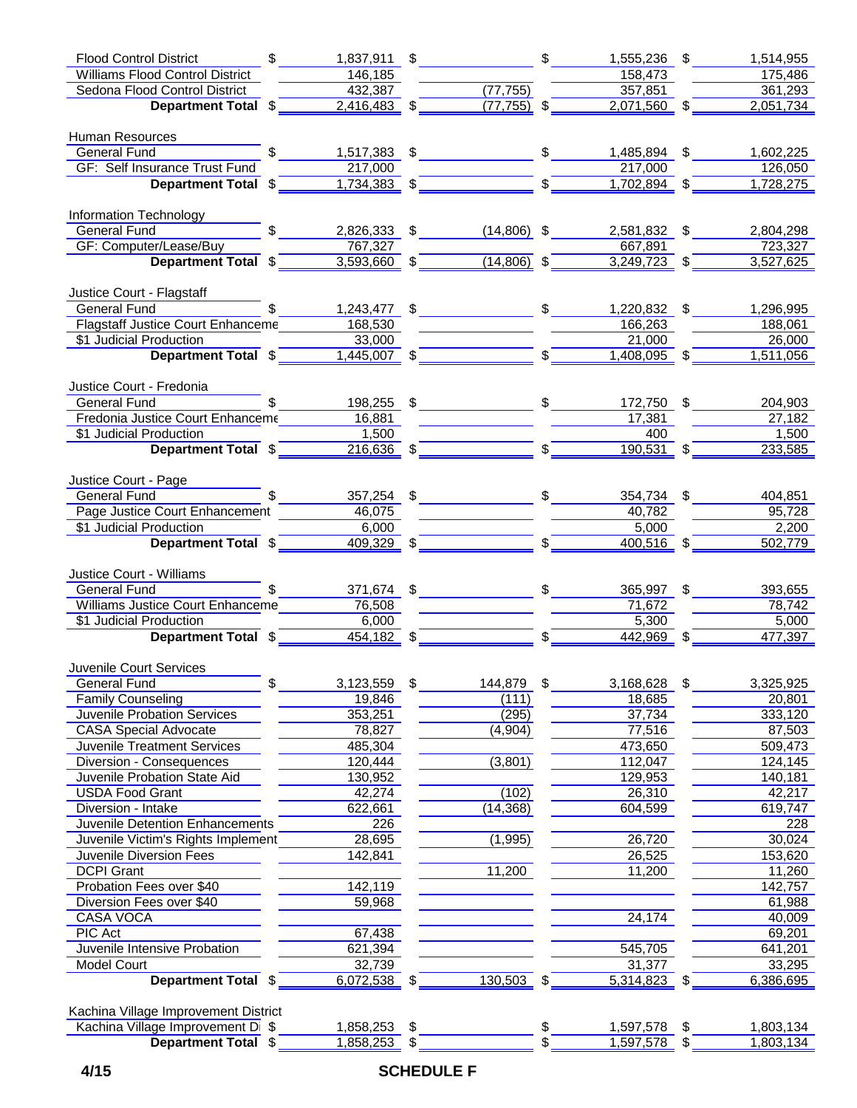| $$\overline{\phantom{a}3}$<br><b>Flood Control District</b>                                                                                     |                                                                   |                           | $1,837,911$ \$ \$                                                                                                                                                                                                                                                   | 1,555,236 \$              | 1,514,955                  |
|-------------------------------------------------------------------------------------------------------------------------------------------------|-------------------------------------------------------------------|---------------------------|---------------------------------------------------------------------------------------------------------------------------------------------------------------------------------------------------------------------------------------------------------------------|---------------------------|----------------------------|
| <b>Williams Flood Control District</b>                                                                                                          | 146, 185                                                          |                           |                                                                                                                                                                                                                                                                     | 158,473                   | 175,486                    |
| Sedona Flood Control District                                                                                                                   | 432,387                                                           |                           | (77, 755)                                                                                                                                                                                                                                                           | 357,851                   | $\frac{1}{361,293}$        |
| Department Total $\sqrt[6]{\qquad \qquad 2,416,483}$ $\sqrt[6]{ }$                                                                              |                                                                   |                           | $(77, 755)$ \$                                                                                                                                                                                                                                                      |                           | $2,071,560$ \$ $2,051,734$ |
| Human Resources                                                                                                                                 |                                                                   |                           |                                                                                                                                                                                                                                                                     |                           |                            |
| $\sim$<br>General Fund<br>Seneral Fund<br>Seneral Sunday                                                                                        |                                                                   |                           |                                                                                                                                                                                                                                                                     | 1,485,894 \$              | 1,602,225                  |
| <b>GF: Self Insurance Trust Fund</b>                                                                                                            | 217,000                                                           |                           |                                                                                                                                                                                                                                                                     | 217,000                   | 126,050                    |
| <b>Example 2 Department Total \$</b>                                                                                                            |                                                                   |                           | $\equiv$ $\frac{1}{2}$<br>$1,734,383$ \$                                                                                                                                                                                                                            | $1,702,894$ \$            | 1,728,275                  |
| Information Technology                                                                                                                          |                                                                   |                           |                                                                                                                                                                                                                                                                     |                           |                            |
| $\mathbb S$<br>General Fund                                                                                                                     |                                                                   |                           | 2,826,333 \$ (14,806) \$                                                                                                                                                                                                                                            | 2,581,832 \$              | 2,804,298                  |
| GF: Computer/Lease/Buy                                                                                                                          | 767,327                                                           |                           |                                                                                                                                                                                                                                                                     | 667,891                   | 723,327                    |
| Department Total \$                                                                                                                             |                                                                   |                           | $3,593,660$ \$ (14,806) \$                                                                                                                                                                                                                                          | $3,249,723$ \$            | 3,527,625                  |
| Justice Court - Flagstaff                                                                                                                       |                                                                   |                           |                                                                                                                                                                                                                                                                     |                           |                            |
| General Fund                                                                                                                                    |                                                                   |                           | $1,243,477$ \$                                                                                                                                                                                                                                                      | 1,220,832 \$              | 1,296,995                  |
| Flagstaff Justice Court Enhanceme                                                                                                               | 168,530                                                           |                           |                                                                                                                                                                                                                                                                     | 166,263                   | 188,061                    |
| \$1 Judicial Production                                                                                                                         | 33,000                                                            |                           |                                                                                                                                                                                                                                                                     | 21,000                    | 26,000                     |
| Department Total \$                                                                                                                             |                                                                   |                           | $\frac{1,445,007}{9}$ \$                                                                                                                                                                                                                                            | $1,408,095$ \$            | 1,511,056                  |
| Justice Court - Fredonia                                                                                                                        |                                                                   |                           |                                                                                                                                                                                                                                                                     |                           |                            |
| $\mathbb{S}$<br>General Fund                                                                                                                    |                                                                   |                           | 198,255 \$2000 \$2000 \$2000 \$2000 \$2000 \$2000 \$2000 \$2000 \$2000 \$2000 \$2000 \$2000 \$2000 \$2000 \$2000 \$2000 \$2000 \$2000 \$2000 \$2000 \$3000 \$3000 \$3000 \$3000 \$3000 \$3000 \$3000 \$3000 \$3000 \$3000 \$3000 \$3000 \$3000 \$3000 \$3000 \$3000 | 172,750 \$                | 204,903                    |
| Fredonia Justice Court Enhanceme                                                                                                                | 16,881                                                            |                           |                                                                                                                                                                                                                                                                     | 17,381                    | 27,182                     |
| \$1 Judicial Production                                                                                                                         | 1,500                                                             |                           |                                                                                                                                                                                                                                                                     | 400                       | 1,500                      |
| Department Total \$                                                                                                                             |                                                                   |                           | $\frac{11500}{216,636}$ \$                                                                                                                                                                                                                                          | $190,531$ \$              | 233,585                    |
|                                                                                                                                                 |                                                                   |                           |                                                                                                                                                                                                                                                                     |                           |                            |
| Justice Court - Page<br>General Fund <b>Selection</b> Sensors Sensors and Sensors Sensors Sensors and Sensors Sensors Sensors Sensors Sensors S |                                                                   |                           |                                                                                                                                                                                                                                                                     |                           | 404,851                    |
|                                                                                                                                                 |                                                                   |                           | $357,254$ \$                                                                                                                                                                                                                                                        | $354,734$ \$<br>$-40,782$ | $\frac{95,728}{ }$         |
| Page Justice Court Enhancement 46,075<br>\$1 Judicial Production                                                                                |                                                                   |                           |                                                                                                                                                                                                                                                                     | 5,000                     | 2,200                      |
| Department Total \$                                                                                                                             | $\begin{array}{r c}\n & 6,000 \\ \hline\n & 409,329\n\end{array}$ |                           | $\overline{\phantom{a}}$ $\overline{\phantom{a}}$ $\overline{\phantom{a}}$ $\overline{\phantom{a}}$ $\overline{\phantom{a}}$                                                                                                                                        | $400,516$ \$              | 502,779                    |
|                                                                                                                                                 |                                                                   |                           |                                                                                                                                                                                                                                                                     |                           |                            |
| Justice Court - Williams                                                                                                                        |                                                                   |                           |                                                                                                                                                                                                                                                                     |                           |                            |
| General Fund \$                                                                                                                                 |                                                                   |                           | 371,674 \$2000 \$2000 \$2000 \$2000 \$2000 \$2000 \$2000 \$2000 \$2000 \$2000 \$2000 \$2000 \$2000 \$2000 \$2000 \$2000 \$2000 \$2000 \$2000 \$2000 \$2000 \$2000 \$3000 \$3000 \$3000 \$3000 \$3000 \$3000 \$3000 \$3000 \$3000 \$3000 \$3000 \$3000 \$3000 \$3000 | 365,997 \$                | 393,655                    |
| Williams Justice Court Enhanceme 76,508                                                                                                         |                                                                   |                           |                                                                                                                                                                                                                                                                     |                           | 78,742                     |
| \$1 Judicial Production                                                                                                                         | 6,000                                                             |                           |                                                                                                                                                                                                                                                                     | 5,300                     | 5,000                      |
| Department Total \$                                                                                                                             |                                                                   |                           | $\frac{6,000}{454,182}$ \$                                                                                                                                                                                                                                          | $442,969$ $\frac{2}{1}$   | 477,397                    |
| Juvenile Court Services                                                                                                                         |                                                                   |                           |                                                                                                                                                                                                                                                                     |                           |                            |
| \$<br><b>General Fund</b>                                                                                                                       | 3,123,559                                                         | $\boldsymbol{\mathsf{S}}$ | 144,879                                                                                                                                                                                                                                                             | \$<br>3,168,628           | \$<br>3,325,925            |
| <b>Family Counseling</b>                                                                                                                        | 19,846                                                            |                           | (111)                                                                                                                                                                                                                                                               | 18,685                    | 20,801                     |
| Juvenile Probation Services                                                                                                                     | 353,251                                                           |                           | (295)                                                                                                                                                                                                                                                               | 37,734                    | 333,120                    |
| <b>CASA Special Advocate</b>                                                                                                                    | 78,827                                                            |                           | (4,904)                                                                                                                                                                                                                                                             | 77,516                    | 87,503                     |
| <b>Juvenile Treatment Services</b>                                                                                                              | 485,304                                                           |                           |                                                                                                                                                                                                                                                                     | 473,650                   | 509,473                    |
| Diversion - Consequences                                                                                                                        | 120,444                                                           |                           | (3,801)                                                                                                                                                                                                                                                             | 112,047                   | 124,145                    |
| Juvenile Probation State Aid                                                                                                                    | 130,952                                                           |                           |                                                                                                                                                                                                                                                                     | 129,953                   | 140,181                    |
| <b>USDA Food Grant</b>                                                                                                                          | 42,274                                                            |                           | (102)                                                                                                                                                                                                                                                               | 26,310                    | 42,217                     |
| Diversion - Intake                                                                                                                              | 622,661                                                           |                           | (14, 368)                                                                                                                                                                                                                                                           | 604,599                   | 619,747                    |
| Juvenile Detention Enhancements                                                                                                                 | 226                                                               |                           |                                                                                                                                                                                                                                                                     |                           | 228                        |
| Juvenile Victim's Rights Implement                                                                                                              | 28,695                                                            |                           | (1,995)                                                                                                                                                                                                                                                             | 26,720                    | 30,024                     |
| Juvenile Diversion Fees                                                                                                                         | 142,841                                                           |                           |                                                                                                                                                                                                                                                                     | 26,525                    | 153,620                    |
| <b>DCPI Grant</b>                                                                                                                               |                                                                   |                           | 11,200                                                                                                                                                                                                                                                              | 11,200                    | 11,260                     |
| Probation Fees over \$40                                                                                                                        | 142,119                                                           |                           |                                                                                                                                                                                                                                                                     |                           | 142,757                    |
| Diversion Fees over \$40                                                                                                                        | 59,968                                                            |                           |                                                                                                                                                                                                                                                                     |                           | 61,988                     |
| <b>CASA VOCA</b>                                                                                                                                |                                                                   |                           |                                                                                                                                                                                                                                                                     | 24,174                    | 40,009                     |
| <b>PIC Act</b>                                                                                                                                  | 67,438                                                            |                           |                                                                                                                                                                                                                                                                     |                           | 69,201                     |
| Juvenile Intensive Probation                                                                                                                    | 621,394                                                           |                           |                                                                                                                                                                                                                                                                     | 545,705                   | 641,201                    |
| Model Court                                                                                                                                     | 32,739                                                            |                           |                                                                                                                                                                                                                                                                     | 31,377                    | 33,295                     |
| Department Total \$                                                                                                                             | $6,072,538$ \$                                                    |                           | $130,503$ \$                                                                                                                                                                                                                                                        | $5,314,823$ \$            | 6,386,695                  |
|                                                                                                                                                 |                                                                   |                           |                                                                                                                                                                                                                                                                     |                           |                            |
| Kachina Village Improvement District<br>Kachina Village Improvement Di \$                                                                       | 1,858,253 \$                                                      |                           |                                                                                                                                                                                                                                                                     | \$<br>1,597,578 \$        | 1,803,134                  |
| Department Total \$                                                                                                                             | $1,858,253$ \$                                                    |                           |                                                                                                                                                                                                                                                                     | \$<br>1,597,578 \$        | 1,803,134                  |
|                                                                                                                                                 |                                                                   |                           |                                                                                                                                                                                                                                                                     |                           |                            |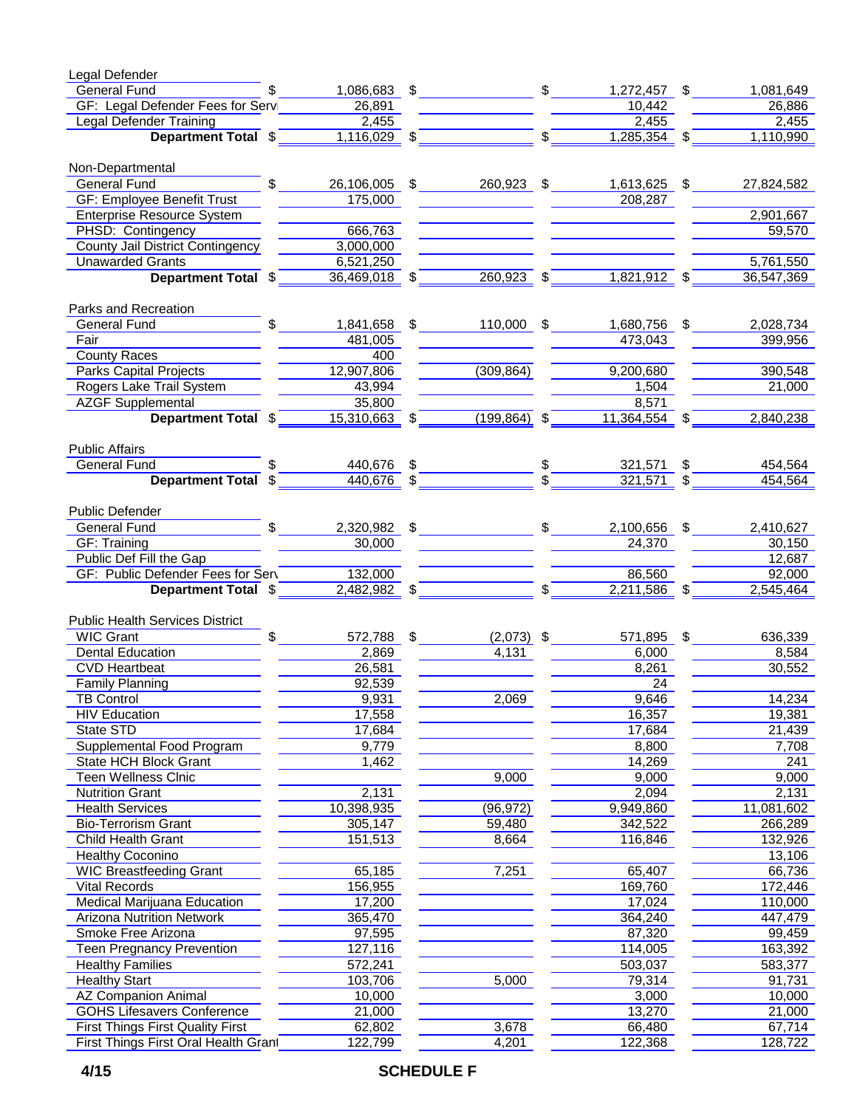| Legal Defender                                                                                                                                                                                                                                        |                            |                                |                                                |                    |
|-------------------------------------------------------------------------------------------------------------------------------------------------------------------------------------------------------------------------------------------------------|----------------------------|--------------------------------|------------------------------------------------|--------------------|
| $\mathsf{\$}$<br>General Fund <b>Contract Contract Contract Contract Contract Contract Contract Contract Contract Control Contract Contract Contract Contract Contract Contract Contract Contract Contract Contract Contract Contract Contract Co</b> |                            | $1,086,683$ \$ \$              | 1,272,457 \$                                   | 1,081,649          |
| GF: Legal Defender Fees for Servi                                                                                                                                                                                                                     | 26,891                     |                                | 10,442                                         | 26,886             |
|                                                                                                                                                                                                                                                       |                            |                                | 2,455                                          | 2,455              |
| Legal Defender Training<br>Department Total $\frac{2,455}{2}$ $\frac{2,455}{2}$ $\frac{2,455}{2}$                                                                                                                                                     |                            |                                | $\frac{1}{2}$ \$ 1,285,354 \$ 1,110,990        |                    |
| Non-Departmental                                                                                                                                                                                                                                      |                            |                                |                                                |                    |
| $$\overline{\phantom{a}}$$<br><b>General Fund</b>                                                                                                                                                                                                     |                            |                                | 26,106,005 \$260,923 \$1,613,625 \$            | 27,824,582         |
| <b>GF: Employee Benefit Trust</b>                                                                                                                                                                                                                     | 175,000                    |                                | 208,287                                        |                    |
| <b>Enterprise Resource System</b>                                                                                                                                                                                                                     |                            |                                |                                                | 2,901,667          |
| PHSD: Contingency                                                                                                                                                                                                                                     | 666,763                    |                                |                                                | 59,570             |
| <b>County Jail District Contingency</b>                                                                                                                                                                                                               | 3,000,000                  |                                |                                                |                    |
| <b>Unawarded Grants</b>                                                                                                                                                                                                                               | 6,521,250                  |                                |                                                | 5,761,550          |
| Department Total \$                                                                                                                                                                                                                                   | $36,469,018$ \$            |                                | $260,923$ \$ $1,821,912$ \$                    | 36,547,369         |
| Parks and Recreation                                                                                                                                                                                                                                  |                            |                                |                                                |                    |
| $$\overline{\phantom{a}3}$<br><b>General Fund</b>                                                                                                                                                                                                     |                            |                                | 1,841,658 \$ 110,000 \$ 1,680,756 \$ 2,028,734 |                    |
| <b>Fair</b> Paint                                                                                                                                                                                                                                     | 481,005                    |                                | 473,043                                        | 399,956            |
| <b>County Races</b>                                                                                                                                                                                                                                   | 400                        |                                |                                                |                    |
| <b>Parks Capital Projects</b>                                                                                                                                                                                                                         | 12,907,806                 | (309, 864)                     | 9,200,680                                      | 390,548            |
| Rogers Lake Trail System                                                                                                                                                                                                                              | 43,994                     |                                | 1,504                                          | $-21,000$          |
| <b>AZGF Supplemental</b>                                                                                                                                                                                                                              | 35,800                     |                                | 8,571                                          |                    |
| lemental 35,800<br><b>Department Total</b> $\frac{25,800}{15,310,663}$ $\frac{25,800}{15,310,663}$                                                                                                                                                    |                            |                                | $(199,864)$ \$ 11,364,554 \$ 2,840,238         |                    |
|                                                                                                                                                                                                                                                       |                            |                                |                                                |                    |
| <b>Public Affairs</b><br><b>General Fund</b><br>$\frac{1}{2}$                                                                                                                                                                                         |                            |                                |                                                |                    |
| Department Total \$                                                                                                                                                                                                                                   | 440,676 \$<br>$440,676$ \$ |                                | 321,571 \$<br>$321,571$ \$                     | 454,564<br>454,564 |
|                                                                                                                                                                                                                                                       |                            |                                |                                                |                    |
| Public Defender                                                                                                                                                                                                                                       |                            |                                |                                                |                    |
|                                                                                                                                                                                                                                                       |                            |                                | $2,320,982$ \$                                 | 2,410,627          |
| GF: Training                                                                                                                                                                                                                                          | 30,000                     |                                | 24,370                                         | 30,150             |
| Public Def Fill the Gap<br>GF: Public Defender Fees for Serv                                                                                                                                                                                          |                            |                                | 86,560                                         | 12,687<br>92,000   |
| Department Total \$                                                                                                                                                                                                                                   |                            | $\frac{132,000}{2,482,982}$ \$ | $\frac{2,211,586}{9}$ \$                       | 2,545,464          |
|                                                                                                                                                                                                                                                       |                            |                                |                                                |                    |
| <b>Public Health Services District</b>                                                                                                                                                                                                                |                            |                                |                                                |                    |
| $\frac{1}{\sqrt{2}}$<br><b>WIC Grant</b>                                                                                                                                                                                                              | 572,788 \$                 | $(2,073)$ \$                   | 571,895 \$                                     | 636,339            |
| Dental Education                                                                                                                                                                                                                                      | 2,869                      | 4,131                          | 6,000                                          | 8,584              |
| <b>CVD Heartbeat</b>                                                                                                                                                                                                                                  | 26,581                     |                                | 8,261                                          | 30,552             |
| <b>Family Planning</b>                                                                                                                                                                                                                                | 92,539                     |                                | 24                                             |                    |
| <b>TB Control</b>                                                                                                                                                                                                                                     | 9,931                      | 2,069                          | 9,646                                          | 14,234             |
| <b>HIV Education</b>                                                                                                                                                                                                                                  | 17,558                     |                                | 16,357                                         | 19,381             |
| <b>State STD</b>                                                                                                                                                                                                                                      | 17,684                     |                                | 17,684                                         | 21,439             |
| Supplemental Food Program                                                                                                                                                                                                                             | 9,779                      |                                | 8,800                                          | 7,708              |
| <b>State HCH Block Grant</b>                                                                                                                                                                                                                          | 1,462                      |                                | 14,269                                         | 241                |
| <b>Teen Wellness Cinic</b>                                                                                                                                                                                                                            |                            | 9,000                          | 9,000                                          | 9,000              |
| <b>Nutrition Grant</b>                                                                                                                                                                                                                                | 2,131                      |                                | 2,094                                          | 2,131              |
| <b>Health Services</b>                                                                                                                                                                                                                                | 10,398,935                 | (96, 972)                      | 9,949,860                                      | 11,081,602         |
| <b>Bio-Terrorism Grant</b>                                                                                                                                                                                                                            | 305,147                    | 59,480                         | 342,522                                        | 266,289            |
| Child Health Grant                                                                                                                                                                                                                                    | 151,513                    | 8,664                          | 116,846                                        | 132,926            |
| <b>Healthy Coconino</b>                                                                                                                                                                                                                               |                            |                                |                                                | 13,106             |
| <b>WIC Breastfeeding Grant</b>                                                                                                                                                                                                                        | 65,185                     | 7,251                          | 65,407                                         | 66,736             |
| <b>Vital Records</b>                                                                                                                                                                                                                                  | 156,955                    |                                | 169,760                                        | 172,446            |
| Medical Marijuana Education                                                                                                                                                                                                                           | 17,200                     |                                | 17,024                                         | 110,000            |
| <b>Arizona Nutrition Network</b>                                                                                                                                                                                                                      | 365,470                    |                                | 364,240                                        | 447,479            |
| Smoke Free Arizona                                                                                                                                                                                                                                    | 97,595                     |                                | 87,320                                         | 99,459             |
| <b>Teen Pregnancy Prevention</b>                                                                                                                                                                                                                      | 127,116                    |                                | 114,005                                        | 163,392            |
| <b>Healthy Families</b>                                                                                                                                                                                                                               | 572,241                    |                                | 503,037                                        | 583,377            |
| <b>Healthy Start</b>                                                                                                                                                                                                                                  | 103,706                    | 5,000                          | 79,314                                         | 91,731             |
| <b>AZ Companion Animal</b>                                                                                                                                                                                                                            | 10,000                     |                                | 3,000                                          | 10,000             |
| <b>GOHS Lifesavers Conference</b>                                                                                                                                                                                                                     | 21,000                     |                                | 13,270                                         | 21,000             |
| <b>First Things First Quality First</b>                                                                                                                                                                                                               | 62,802                     | 3,678                          | 66,480                                         | 67,714             |
| First Things First Oral Health Grant                                                                                                                                                                                                                  | 122,799                    | 4,201                          | 122,368                                        | 128,722            |

## **4/15 SCHEDULE F**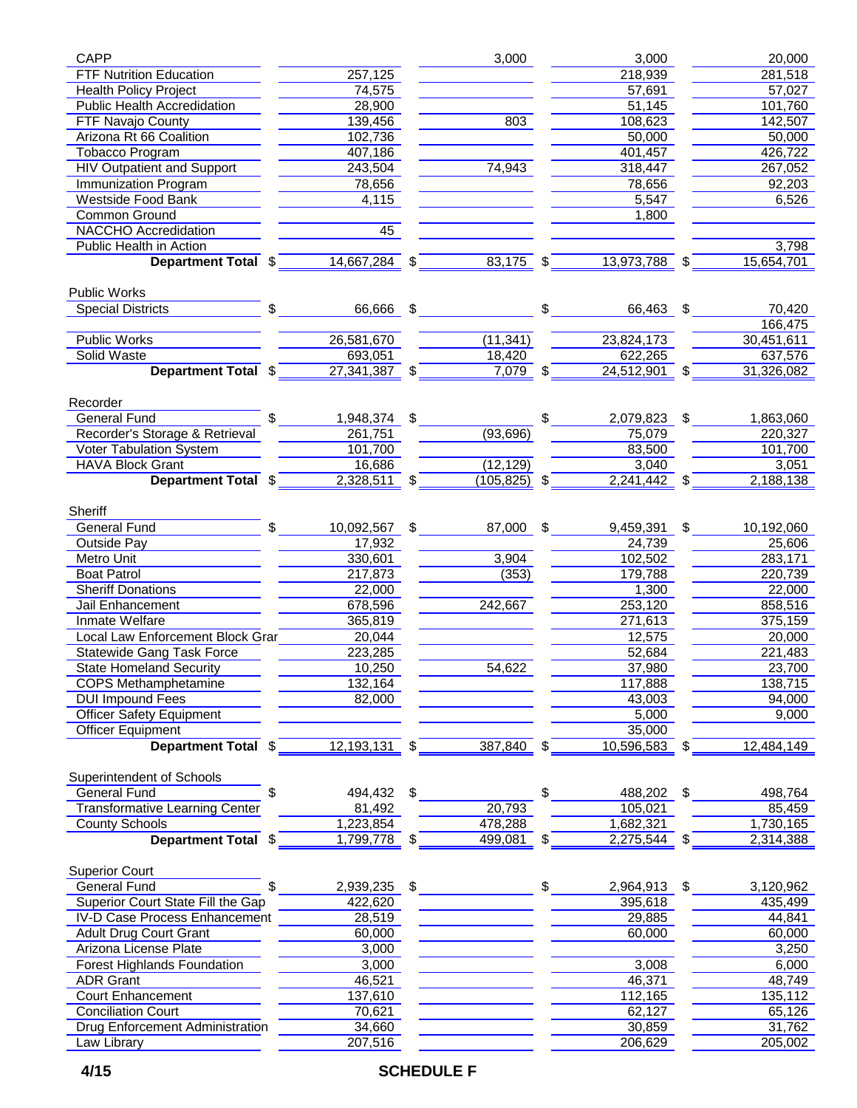| <b>CAPP</b>                                                      |                 |                | 3,000           | 3,000              | 20,000              |
|------------------------------------------------------------------|-----------------|----------------|-----------------|--------------------|---------------------|
| <b>FTF Nutrition Education</b>                                   | 257,125         |                |                 | 218,939            | 281,518             |
|                                                                  |                 |                |                 |                    |                     |
| <b>Health Policy Project</b>                                     | 74,575          |                |                 | 57,691             | 57,027              |
| <b>Public Health Accredidation</b>                               | 28,900          |                |                 | 51,145             | 101,760             |
| FTF Navajo County                                                | 139,456         |                | 803             | 108,623            | 142,507             |
| Arizona Rt 66 Coalition                                          | 102,736         |                |                 | 50,000             | 50,000              |
| <b>Tobacco Program</b>                                           | 407,186         |                |                 | 401,457            | 426,722             |
| <b>HIV Outpatient and Support</b>                                | 243,504         |                | 74,943          | 318,447            | 267,052             |
| Immunization Program                                             | 78,656          |                |                 | 78,656             | 92,203              |
| Westside Food Bank                                               | 4,115           |                |                 | 5,547              | 6,526               |
| Common Ground                                                    |                 |                |                 |                    |                     |
|                                                                  |                 |                |                 | 1,800              |                     |
| <b>NACCHO</b> Accredidation                                      | 45              |                |                 |                    |                     |
| <b>Public Health in Action</b>                                   |                 |                |                 |                    | 3,798               |
| <b>Department Total \$</b> 14,667,284 \$ 83,175 \$ 13,973,788 \$ |                 |                |                 |                    | 15,654,701          |
| <b>Public Works</b>                                              |                 |                |                 |                    |                     |
| \$<br><b>Special Districts</b>                                   | 66,666 \$       |                |                 | \$<br>66,463 \$    | 70,420              |
|                                                                  |                 |                |                 |                    | 166,475             |
| <b>Public Works</b>                                              | 26,581,670      |                | (11, 341)       | 23,824,173         | 30,451,611          |
| <b>Solid Waste</b>                                               | 693,051         |                | 18,420          | 622,265            | 637,576             |
| Department Total \$                                              | 27,341,387 \$   |                | $7,079$ \$      | $24,512,901$ \$    | 31,326,082          |
|                                                                  |                 |                |                 |                    |                     |
| Recorder                                                         |                 |                |                 |                    |                     |
| <b>General Fund</b><br>\$                                        | 1,948,374       | $\mathfrak{S}$ |                 | \$<br>2,079,823 \$ | 1,863,060           |
| Recorder's Storage & Retrieval                                   | 261,751         |                | (93, 696)       | 75,079             | 220,327             |
| <b>Voter Tabulation System</b>                                   | 101,700         |                |                 | 83,500             | 101,700             |
| <b>HAVA Block Grant</b>                                          | 16,686          |                | (12, 129)       | 3,040              | 3,051               |
| Department Total \$                                              | $2,328,511$ \$  |                | $(105, 825)$ \$ | $2,241,442$ \$     | 2,188,138           |
|                                                                  |                 |                |                 |                    |                     |
| Sheriff                                                          |                 |                |                 |                    |                     |
| General Fund<br>\$.                                              | 10,092,567      | \$             | 87,000 \$       | 9,459,391 \$       | 10,192,060          |
| Outside Pay                                                      | 17,932          |                |                 | 24,739             | 25,606              |
| Metro Unit                                                       | 330,601         |                | 3,904           | 102,502            | 283,171             |
| <b>Boat Patrol</b>                                               | 217,873         |                | (353)           | 179,788            | 220,739             |
| <b>Sheriff Donations</b>                                         | 22,000          |                |                 | 1,300              | 22,000              |
| Jail Enhancement                                                 | 678,596         |                | 242,667         | 253,120            | 858,516             |
|                                                                  |                 |                |                 |                    |                     |
| Inmate Welfare                                                   | 365,819         |                |                 | 271,613            | 375,159             |
| Local Law Enforcement Block Grar                                 | 20,044          |                |                 | 12,575             | 20,000              |
| <b>Statewide Gang Task Force</b>                                 | 223,285         |                |                 | 52,684             | 221,483             |
| <b>State Homeland Security</b>                                   | 10,250          |                | 54,622          | 37,980             | 23,700              |
| <b>COPS Methamphetamine</b>                                      | 132,164         |                |                 | 117,888            | 138,715             |
| <b>DUI Impound Fees</b>                                          | 82,000          |                |                 | 43,003             | $\overline{9}4,000$ |
| <b>Officer Safety Equipment</b>                                  |                 |                |                 | 5,000              | 9,000               |
| <b>Officer Equipment</b>                                         |                 |                |                 | 35,000             |                     |
| Department Total \$                                              | $12,193,131$ \$ |                | $387,840$ \$    |                    |                     |
|                                                                  |                 |                |                 | 10,596,583 \$      | 12,484,149          |
| Superintendent of Schools                                        |                 |                |                 |                    |                     |
| <b>General Fund</b>                                              | 494,432         | \$             |                 | \$<br>488,202 \$   | 498,764             |
| <b>Transformative Learning Center</b>                            | 81,492          |                | 20,793          | 105,021            | 85,459              |
| <b>County Schools</b>                                            | 1,223,854       |                | 478,288         | 1,682,321          | 1,730,165           |
| Department Total \$                                              | 1,799,778 \$    |                | $499,081$ \$    | 2,275,544 \$       | 2,314,388           |
| <b>Superior Court</b>                                            |                 |                |                 |                    |                     |
|                                                                  |                 |                |                 |                    |                     |
| General Fund                                                     | 2,939,235       | \$             |                 | \$<br>2,964,913 \$ | 3,120,962           |
| Superior Court State Fill the Gap                                | 422,620         |                |                 | 395,618            | 435,499             |
| <b>IV-D Case Process Enhancement</b>                             | 28,519          |                |                 | 29,885             | 44,841              |
| <b>Adult Drug Court Grant</b>                                    | 60,000          |                |                 | 60,000             | 60,000              |
| Arizona License Plate                                            | 3,000           |                |                 |                    | 3,250               |
| <b>Forest Highlands Foundation</b>                               | 3,000           |                |                 | 3,008              | 6,000               |
| <b>ADR Grant</b>                                                 | 46,521          |                |                 | 46,371             | 48,749              |
| <b>Court Enhancement</b>                                         | 137,610         |                |                 | 112,165            | 135,112             |
| <b>Conciliation Court</b>                                        | 70,621          |                |                 | 62,127             | 65,126              |
|                                                                  |                 |                |                 |                    |                     |
| Drug Enforcement Administration                                  | 34,660          |                |                 | 30,859             | 31,762              |
| Law Library                                                      | 207,516         |                |                 | 206,629            | 205,002             |

## **4/15 SCHEDULE F**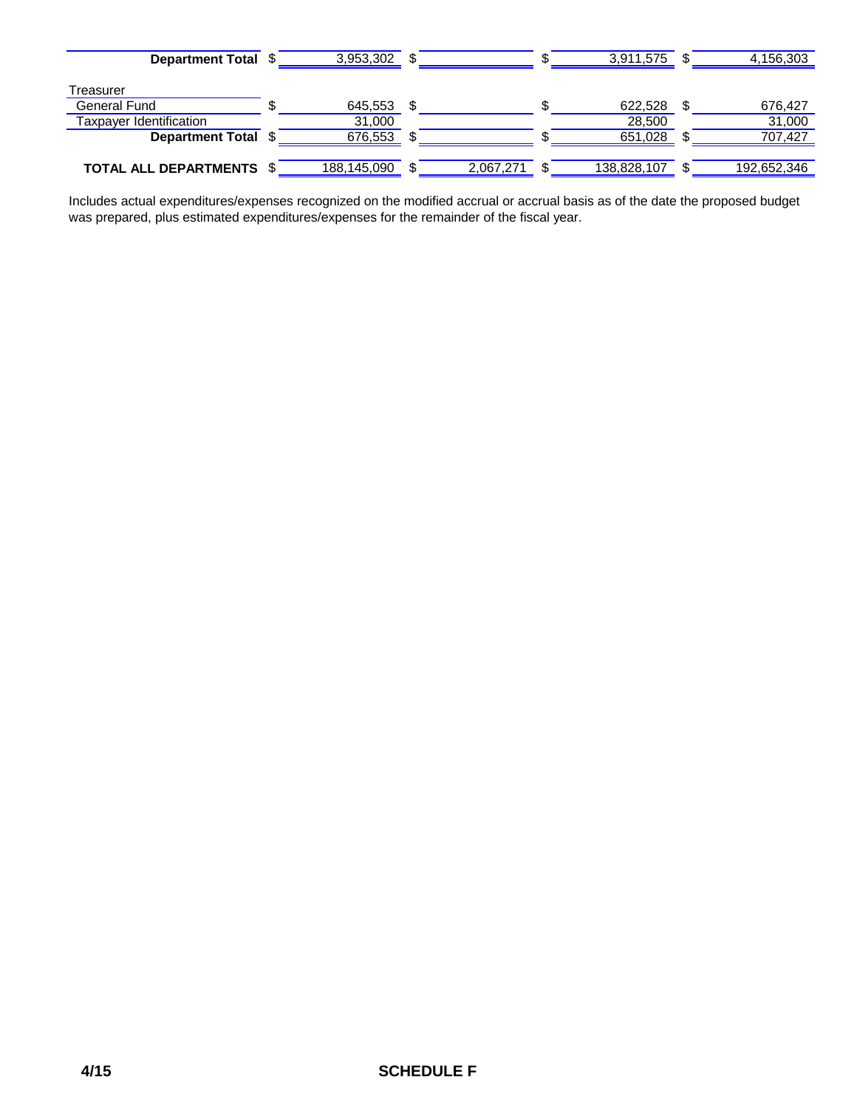| <b>Department Total</b>         | 3,953,302   |           | 3,911,575   | 4,156,303   |
|---------------------------------|-------------|-----------|-------------|-------------|
| Treasurer                       |             |           |             |             |
| General Fund                    | 645,553     |           | 622,528     | 676,427     |
| Taxpayer Identification         | 31,000      |           | 28,500      | 31,000      |
| Department Total \$             | 676,553     |           | 651,028     | 707.427     |
|                                 |             |           |             |             |
| <b>TOTAL ALL DEPARTMENTS \$</b> | 188,145,090 | 2,067,271 | 138,828,107 | 192,652,346 |

Includes actual expenditures/expenses recognized on the modified accrual or accrual basis as of the date the proposed budget was prepared, plus estimated expenditures/expenses for the remainder of the fiscal year.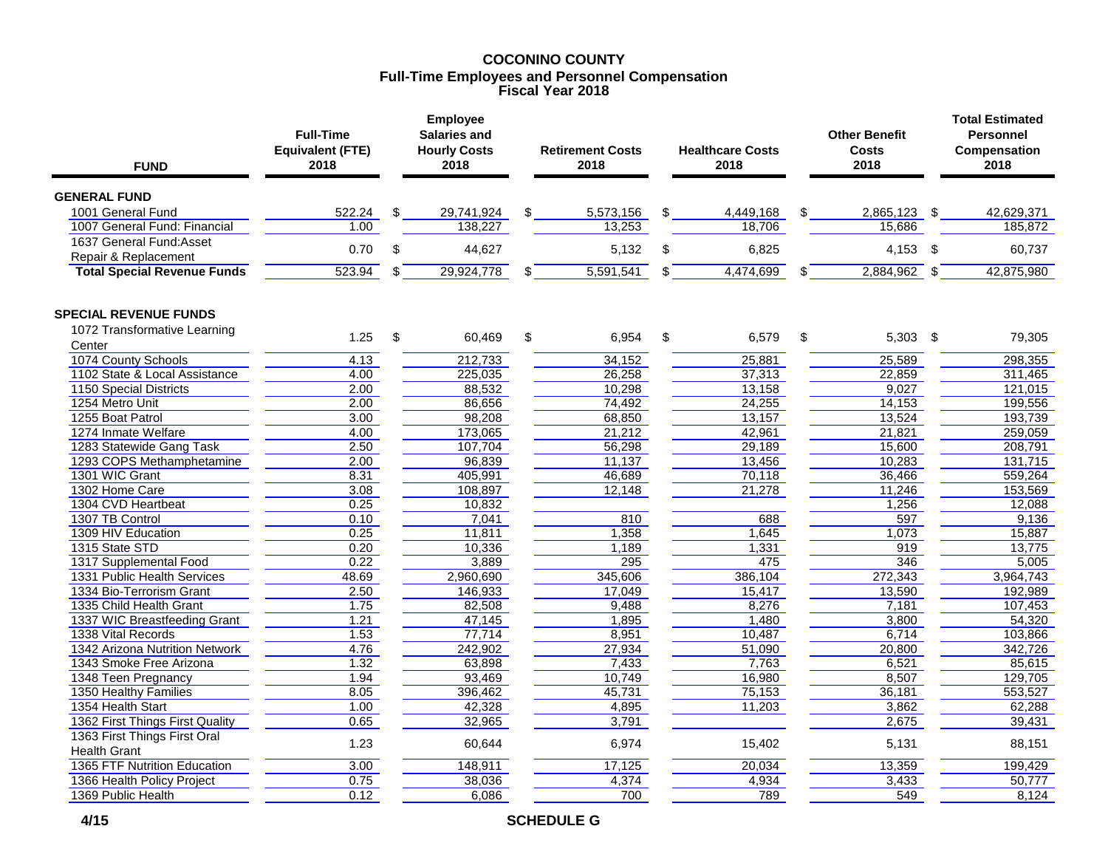#### **COCONINO COUNTY Full-Time Employees and Personnel Compensation Fiscal Year 2018**

| <b>FUND</b>                                              | <b>Full-Time</b><br><b>Equivalent (FTE)</b><br>2018 |     | <b>Employee</b><br><b>Salaries and</b><br><b>Hourly Costs</b><br>2018 |    | <b>Retirement Costs</b><br>2018 |    | <b>Healthcare Costs</b><br>2018 |     | <b>Other Benefit</b><br><b>Costs</b><br>2018 |            | <b>Total Estimated</b><br><b>Personnel</b><br><b>Compensation</b><br>2018 |  |
|----------------------------------------------------------|-----------------------------------------------------|-----|-----------------------------------------------------------------------|----|---------------------------------|----|---------------------------------|-----|----------------------------------------------|------------|---------------------------------------------------------------------------|--|
| <b>GENERAL FUND</b>                                      |                                                     |     |                                                                       |    |                                 |    |                                 |     |                                              |            |                                                                           |  |
| 1001 General Fund                                        | 522.24                                              | \$. | 29,741,924                                                            | \$ | 5,573,156                       | \$ | 4,449,168                       | \$. | 2,865,123 \$                                 |            | 42,629,371                                                                |  |
| 1007 General Fund: Financial<br>1637 General Fund: Asset | 1.00                                                |     | 138,227                                                               |    | 13,253                          |    | 18,706                          |     | 15,686                                       |            | 185,872                                                                   |  |
| Repair & Replacement                                     | 0.70                                                | \$  | 44,627                                                                |    | 5,132                           | \$ | 6,825                           |     | $4,153$ \$                                   |            | 60,737                                                                    |  |
| <b>Total Special Revenue Funds</b>                       | 523.94                                              | \$  | 29,924,778                                                            | \$ | 5,591,541                       | \$ | 4,474,699                       | \$  | 2,884,962                                    | \$         | 42,875,980                                                                |  |
| <b>SPECIAL REVENUE FUNDS</b>                             |                                                     |     |                                                                       |    |                                 |    |                                 |     |                                              |            |                                                                           |  |
| 1072 Transformative Learning                             |                                                     |     |                                                                       |    |                                 |    |                                 |     |                                              |            |                                                                           |  |
| Center                                                   | 1.25                                                | \$  | 60,469                                                                | \$ | 6,954                           | \$ | 6,579                           | \$  | 5,303                                        | $\sqrt{3}$ | 79,305                                                                    |  |
| 1074 County Schools                                      | 4.13                                                |     | 212,733                                                               |    | 34,152                          |    | 25,881                          |     | 25,589                                       |            | 298,355                                                                   |  |
| 1102 State & Local Assistance                            | 4.00                                                |     | 225.035                                                               |    | 26,258                          |    | 37,313                          |     | 22,859                                       |            | 311,465                                                                   |  |
| 1150 Special Districts                                   | 2.00                                                |     | 88,532                                                                |    | 10,298                          |    | 13,158                          |     | 9,027                                        |            | 121,015                                                                   |  |
| 1254 Metro Unit                                          | 2.00                                                |     | 86,656                                                                |    | 74,492                          |    | 24,255                          |     | 14,153                                       |            | 199,556                                                                   |  |
| 1255 Boat Patrol                                         | 3.00                                                |     | 98,208                                                                |    | 68,850                          |    | 13,157                          |     | 13,524                                       |            | 193,739                                                                   |  |
| 1274 Inmate Welfare                                      | 4.00                                                |     | 173,065                                                               |    | 21,212                          |    | 42,961                          |     | 21,821                                       |            | 259,059                                                                   |  |
| 1283 Statewide Gang Task                                 | 2.50                                                |     | 107,704                                                               |    | 56,298                          |    | 29,189                          |     | 15,600                                       |            | 208,791                                                                   |  |
| 1293 COPS Methamphetamine                                | 2.00                                                |     | 96,839                                                                |    | 11,137                          |    | 13,456                          |     | 10,283                                       |            | 131,715                                                                   |  |
| 1301 WIC Grant<br>1302 Home Care                         | 8.31<br>3.08                                        |     | 405,991<br>108,897                                                    |    | 46,689                          |    | 70,118<br>21,278                |     | 36,466<br>11,246                             |            | 559,264<br>153,569                                                        |  |
| 1304 CVD Heartbeat                                       | 0.25                                                |     | 10,832                                                                |    | 12,148                          |    |                                 |     | 1,256                                        |            | 12,088                                                                    |  |
| 1307 TB Control                                          | 0.10                                                |     | 7,041                                                                 |    | 810                             |    | 688                             |     | 597                                          |            | 9,136                                                                     |  |
| 1309 HIV Education                                       | 0.25                                                |     | 11,811                                                                |    | 1,358                           |    | 1,645                           |     | 1,073                                        |            | 15,887                                                                    |  |
| 1315 State STD                                           | 0.20                                                |     | 10,336                                                                |    | 1,189                           |    | 1,331                           |     | 919                                          |            | 13,775                                                                    |  |
| 1317 Supplemental Food                                   | 0.22                                                |     | 3,889                                                                 |    | 295                             |    | 475                             |     | 346                                          |            | 5,005                                                                     |  |
| 1331 Public Health Services                              | 48.69                                               |     | 2,960,690                                                             |    | 345,606                         |    | 386,104                         |     | 272,343                                      |            | 3,964,743                                                                 |  |
| 1334 Bio-Terrorism Grant                                 | 2.50                                                |     | 146,933                                                               |    | 17,049                          |    | 15,417                          |     | 13,590                                       |            | 192,989                                                                   |  |
| 1335 Child Health Grant                                  | 1.75                                                |     | 82,508                                                                |    | 9,488                           |    | 8,276                           |     | 7,181                                        |            | 107,453                                                                   |  |
| 1337 WIC Breastfeeding Grant                             | 1.21                                                |     | 47,145                                                                |    | 1,895                           |    | 1,480                           |     | 3,800                                        |            | 54,320                                                                    |  |
| 1338 Vital Records                                       | 1.53                                                |     | 77,714                                                                |    | 8,951                           |    | 10,487                          |     | 6,714                                        |            | 103,866                                                                   |  |
| 1342 Arizona Nutrition Network                           | 4.76                                                |     | 242,902                                                               |    | 27,934                          |    | 51,090                          |     | 20,800                                       |            | 342,726                                                                   |  |
| 1343 Smoke Free Arizona                                  | 1.32                                                |     | 63,898                                                                |    | 7,433                           |    | 7,763                           |     | 6,521                                        |            | 85,615                                                                    |  |
| 1348 Teen Pregnancy                                      | 1.94                                                |     | 93,469                                                                |    | 10,749                          |    | 16,980                          |     | 8,507                                        |            | 129,705                                                                   |  |
| 1350 Healthy Families                                    | 8.05                                                |     | 396,462                                                               |    | 45,731                          |    | 75,153                          |     | 36,181                                       |            | 553,527                                                                   |  |
| 1354 Health Start                                        | 1.00                                                |     | 42,328                                                                |    | 4,895                           |    | 11,203                          |     | 3,862                                        |            | 62,288                                                                    |  |
| 1362 First Things First Quality                          | 0.65                                                |     | 32,965                                                                |    | 3,791                           |    |                                 |     | 2,675                                        |            | 39,431                                                                    |  |
| 1363 First Things First Oral<br><b>Health Grant</b>      | 1.23                                                |     | 60,644                                                                |    | 6,974                           |    | 15,402                          |     | 5,131                                        |            | 88,151                                                                    |  |
| 1365 FTF Nutrition Education                             | 3.00                                                |     | 148,911                                                               |    | 17,125                          |    | 20,034                          |     | 13,359                                       |            | 199,429                                                                   |  |
| 1366 Health Policy Project                               | 0.75                                                |     | 38,036                                                                |    | 4,374                           |    | 4,934                           |     | 3,433                                        |            | 50,777                                                                    |  |
| 1369 Public Health                                       | 0.12                                                |     | 6,086                                                                 |    | 700                             |    | 789                             |     | 549                                          |            | 8,124                                                                     |  |

 **4/15 SCHEDULE G**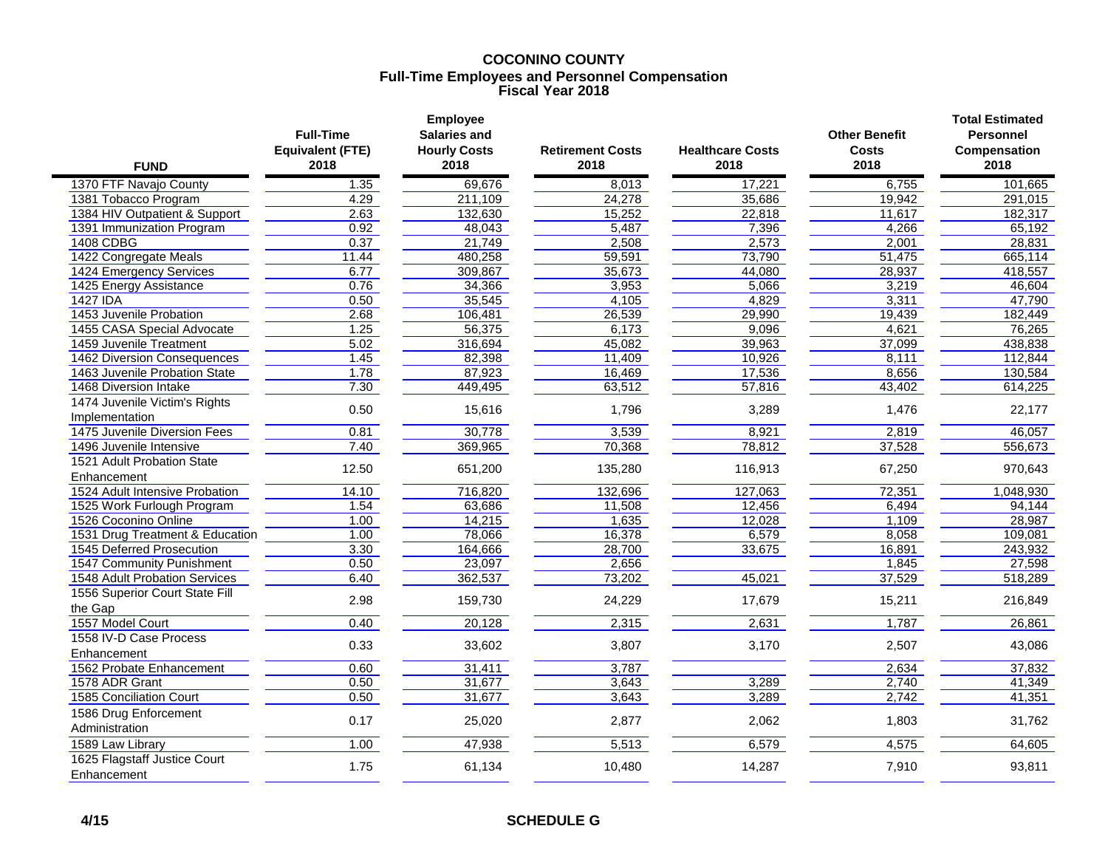#### **COCONINO COUNTY Full-Time Employees and Personnel Compensation Fiscal Year 2018**

| <b>FUND</b>                                 | <b>Full-Time</b><br><b>Equivalent (FTE)</b><br>2018 | <b>Employee</b><br><b>Salaries and</b><br><b>Hourly Costs</b><br>2018 | <b>Retirement Costs</b><br>2018 | <b>Healthcare Costs</b><br>2018 | <b>Other Benefit</b><br>Costs<br>2018 | <b>Total Estimated</b><br><b>Personnel</b><br>Compensation<br>2018 |
|---------------------------------------------|-----------------------------------------------------|-----------------------------------------------------------------------|---------------------------------|---------------------------------|---------------------------------------|--------------------------------------------------------------------|
| 1370 FTF Navajo County                      | 1.35                                                | 69,676                                                                | 8,013                           | 17,221                          | 6,755                                 | 101,665                                                            |
| 1381 Tobacco Program                        | 4.29                                                | 211,109                                                               | 24,278                          | 35,686                          | 19,942                                | 291,015                                                            |
| 1384 HIV Outpatient & Support               | 2.63                                                | 132,630                                                               | 15,252                          | 22,818                          | 11,617                                | 182,317                                                            |
| 1391 Immunization Program                   | 0.92                                                | 48,043                                                                | 5,487                           | 7,396                           | 4,266                                 | 65,192                                                             |
| 1408 CDBG                                   | 0.37                                                | 21,749                                                                | 2,508                           | 2,573                           | 2,001                                 | 28,831                                                             |
| 1422 Congregate Meals                       | 11.44                                               | 480,258                                                               | 59,591                          | 73,790                          | 51,475                                | 665,114                                                            |
| 1424 Emergency Services                     | 6.77                                                | 309,867                                                               | 35,673                          | 44,080                          | 28,937                                | 418,557                                                            |
| 1425 Energy Assistance                      | 0.76                                                | 34,366                                                                | 3,953                           | 5,066                           | 3,219                                 | 46,604                                                             |
| 1427 IDA                                    | 0.50                                                | 35,545                                                                | 4,105                           | 4,829                           | 3,311                                 | 47,790                                                             |
| 1453 Juvenile Probation                     | 2.68                                                | 106,481                                                               | 26,539                          | 29,990                          | 19,439                                | 182,449                                                            |
| 1455 CASA Special Advocate                  | 1.25                                                | 56,375                                                                | 6,173                           | 9,096                           | 4,621                                 | 76,265                                                             |
| 1459 Juvenile Treatment                     | 5.02                                                | 316,694                                                               | 45,082                          | 39,963                          | 37,099                                | 438,838                                                            |
| 1462 Diversion Consequences                 | 1.45                                                | 82,398                                                                | 11,409                          | 10,926                          | 8,111                                 | 112,844                                                            |
| 1463 Juvenile Probation State               | 1.78                                                | 87,923                                                                | 16,469                          | 17,536                          | 8,656                                 | 130,584                                                            |
| 1468 Diversion Intake                       | 7.30                                                | 449,495                                                               | 63,512                          | 57,816                          | 43,402                                | 614,225                                                            |
| 1474 Juvenile Victim's Rights               |                                                     |                                                                       |                                 |                                 |                                       |                                                                    |
| Implementation                              | 0.50                                                | 15,616                                                                | 1,796                           | 3,289                           | 1,476                                 | 22,177                                                             |
| 1475 Juvenile Diversion Fees                | 0.81                                                | 30,778                                                                | 3,539                           | 8,921                           | 2,819                                 | 46,057                                                             |
| 1496 Juvenile Intensive                     | 7.40                                                | 369,965                                                               | 70,368                          | 78,812                          | 37,528                                | 556,673                                                            |
| 1521 Adult Probation State                  | 12.50                                               |                                                                       |                                 |                                 |                                       |                                                                    |
| Enhancement                                 |                                                     | 651,200                                                               | 135,280                         | 116,913                         | 67,250                                | 970,643                                                            |
| 1524 Adult Intensive Probation              | 14.10                                               | 716,820                                                               | 132,696                         | 127,063                         | 72,351                                | 1,048,930                                                          |
| 1525 Work Furlough Program                  | 1.54                                                | 63,686                                                                | 11,508                          | 12,456                          | 6,494                                 | 94,144                                                             |
| 1526 Coconino Online                        | 1.00                                                | 14,215                                                                | 1,635                           | 12,028                          | 1,109                                 | 28,987                                                             |
| 1531 Drug Treatment & Education             | 1.00                                                | 78,066                                                                | 16,378                          | 6,579                           | 8,058                                 | 109,081                                                            |
| 1545 Deferred Prosecution                   | 3.30                                                | 164,666                                                               | 28,700                          | 33,675                          | 16,891                                | 243,932                                                            |
| 1547 Community Punishment                   | 0.50                                                | 23,097                                                                | 2,656                           |                                 | 1,845                                 | 27,598                                                             |
| 1548 Adult Probation Services               | 6.40                                                | 362,537                                                               | 73,202                          | 45,021                          | 37,529                                | 518,289                                                            |
| 1556 Superior Court State Fill<br>the Gap   | 2.98                                                | 159,730                                                               | 24,229                          | 17,679                          | 15,211                                | 216,849                                                            |
| 1557 Model Court                            | 0.40                                                | 20,128                                                                | 2,315                           | 2,631                           | 1,787                                 | 26,861                                                             |
| 1558 IV-D Case Process                      |                                                     |                                                                       |                                 |                                 |                                       |                                                                    |
| Enhancement                                 | 0.33                                                | 33,602                                                                | 3,807                           | 3,170                           | 2,507                                 | 43,086                                                             |
| 1562 Probate Enhancement                    | 0.60                                                | 31,411                                                                | 3,787                           |                                 | 2,634                                 | 37,832                                                             |
| 1578 ADR Grant                              | 0.50                                                | 31,677                                                                | 3,643                           | 3,289                           | 2,740                                 | 41,349                                                             |
| 1585 Conciliation Court                     | 0.50                                                | 31,677                                                                | 3,643                           | 3,289                           | 2,742                                 | 41,351                                                             |
| 1586 Drug Enforcement<br>Administration     | 0.17                                                | 25,020                                                                | 2,877                           | 2,062                           | 1,803                                 | 31,762                                                             |
| 1589 Law Library                            | 1.00                                                | 47,938                                                                | 5,513                           | 6,579                           | 4,575                                 | 64,605                                                             |
| 1625 Flagstaff Justice Court<br>Enhancement | 1.75                                                | 61,134                                                                | 10,480                          | 14,287                          | 7,910                                 | 93,811                                                             |